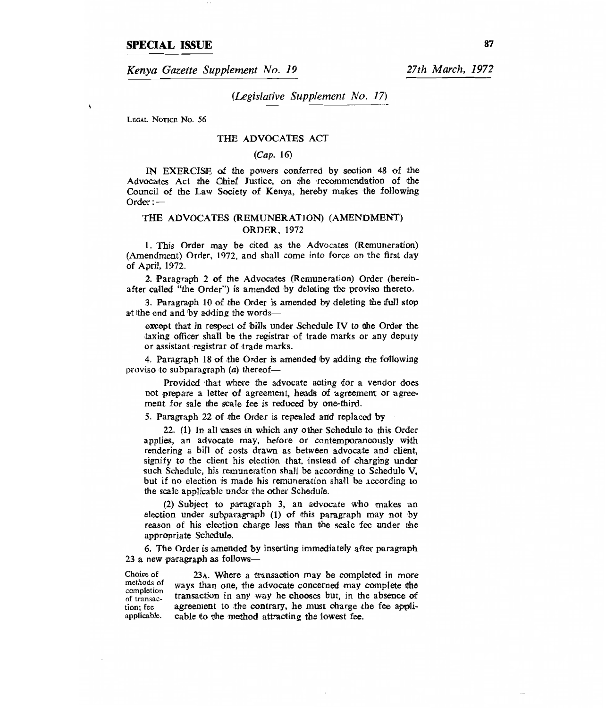# **SPECIAL ISSUE** <sup>87</sup>

*Kenya Gazette Supplement No. 19 27th March, 1972* 

*(Legislative Supplement No. 17)* 

LEGAL NOTICE No. 56

 $\mathbf{r}$ 

### THE ADVOCATES ACT

#### *(Cap.* 16)

IN EXERCISE of the powers conferred by section 48 of the Advocates Act the Chief Justice, on the recommendation of the Council of the Law Society of Kenya, hereby makes the following Order :—

## THE ADVOCATES (REMUNERATION) (AMENDMENT) ORDER, 1972

1. This Order may be cited as the Advocates (Remuneration) (Amendment) Order, 1972, and shall come into force on the first day of April, 1972.

2. Paragraph 2 of the Advocates (Remuneration) Order (hereinafter called "the Order") is amended by deleting the proviso thereto.

3. Paragraph 10 of the Order is amended by deleting the full stop at the end and by adding the words—

except that in respect of bills under Schedule IV to the Order the taxing officer shall be the registrar of trade marks or any deputy or assistant registrar of trade marks.

4. Paragraph 18 of the Order is amended by adding the following proviso to subparagraph *(a)* thereof—

Provided that where the advocate acting for a vendor does not prepare a letter of agreement, heads of agreement or agreement for sale the scale fee is reduced by one-third.

5. Paragraph 22 of the Order is repealed and replaced by-

22. (1) In all cases in which any other Schedule to this Order applies, an advocate may, before or contemporaneously with rendering a bill of costs drawn as between advocate and client, signify to the client his election that, instead of charging under such Schedule, his remuneration shall be according to Schedule V, but if no election is made his remuneration shall be according to the scale applicable under the other Schedule.

(2) Subject to paragraph 3, an advocate who makes an election under subparagraph (1) of this paragraph may not by reason of his election charge less than the scale fee under the appropriate Schedule.

6. The Order is amended by inserting immediately after paragraph 23 a new paragraph as follows—

Choice of 23 $\lambda$ . Where a transaction may be completed in more methods of ways than one, the advocate concerned may complete the completion ways than one, the advocate concerned may complete the of transaction in any way he chooses but, in the absence of tion: fee agreement to the contrary, he must charge the fee applition; fee agreement to the contrary, he must charge the fee appli-<br>applicable. cable to the method attracting the lowest fee. cable to the method attracting the lowest fee.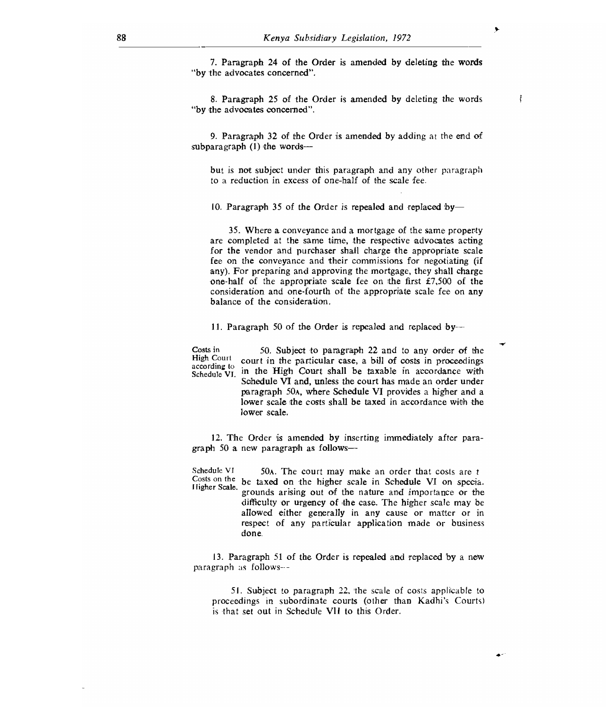7. Paragraph 24 of the Order is amended by deleting the words "by the advocates concerned".

8. Paragraph 25 of the Order is amended by deleting the words "by the advocates concerned".

9. Paragraph 32 of the Order is amended by adding at the end of subparagraph (1) the words—

but is not subject under this paragraph and any other paragraph to a reduction in excess of one-half of the scale fee.

10. Paragraph 35 of the Order is repealed and replaced by-

35. Where a conveyance and a mortgage of the same property are completed at the same time, the respective advocates acting for the vendor and purchaser shall charge the appropriate scale fee on the conveyance and their commissions for negotiating (if any). For preparing and approving the mortgage, they shall charge one-half of the appropriate scale fee on the first  $£7,500$  of the consideration and one-fourth of the appropriate scale fee on any balance of the consideration.

11. Paragraph 50 of the Order is repealed and replaced by- $-$ 

Costs in High Court according to Schedule VI 50. Subject to paragraph 22 and to any order of the court in the particular case, a bill of costs in proceedings in the High Court shall be taxable in accordance with Schedule VI and, unless the court has made an order under paragraph 50A, where Schedule VI provides a higher and a lower scale the costs shall be taxed in accordance with the

12. The Order is amended by inserting immediately after paragraph 50 a new paragraph as follows—

lower scale.

Schedule VI 50A. The court may make an order that costs are t Costs on the be taxed on the higher scale in Schedule VI on specia. Higher Scale. grounds arising out of the nature and importance or the

difficulty or urgency of the case. The higher scale may be allowed either generally in any cause or matter or in respect of any particular application made or business done.

13. Paragraph 51 of the Order is repealed and replaced by a new paragraph as follows---

51. Subject to paragraph 22, 'the scale of costs applicable to proceedings in subordinate courts (other than Kadhi's Courts) is that set out in Schedule VII to this Order.

 $\bullet$ 

÷.

 $\mathfrak{k}$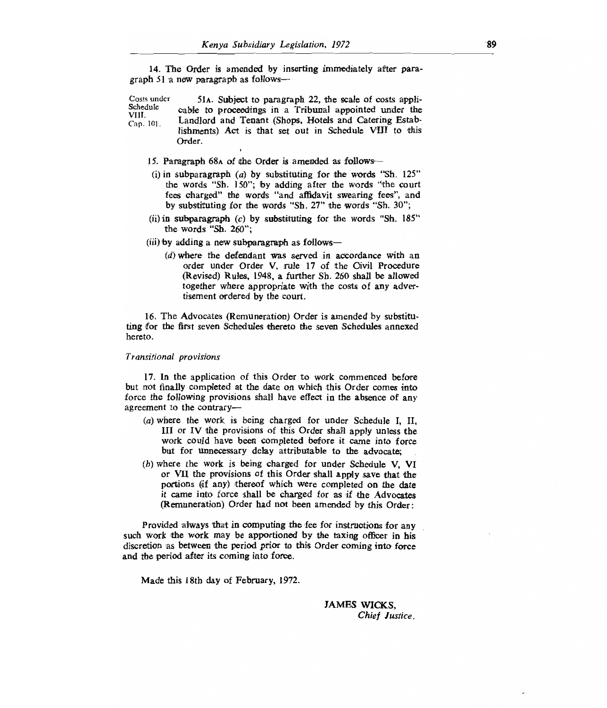14. The Order is amended by inserting immediately after paragraph 51 a new paragraph as follows—

Costs under Schedule VIII. Cap. 101. 51A. Subject to paragraph 22, the scale of costs applicable to proceedings in a Tribunal appointed under the Landlord and Tenant (Shops, Hotels and Catering Establishments) Act is that set out in Schedule VHI to this Order.

- 15. Paragraph 68A of the Order is amended as follows-
- (i) in subparagraph  $(a)$  by substituting for the words "Sh. 125" the words "Sh. 150"; by adding after the words "the court fees charged" the words "and affidavit swearing fees", and by substituting for the words "Sh. 27" the words "Sh. 30";
- (ii) in subparagraph *(c)* by substituting for the words "Sh. 185" the words "Sh. 260";
- (iii) by adding a new subparagraph as follows—
	- *(d) where* the defendant was served in accordance with an order under Order V, rule 17 of the Civil Procedure (Revised) Rules, 1948, a further Sh. 260 shall be allowed together where appropriate with the costs of any advertisement ordered by the court.

16. The Advocates (Remuneration) Order is amended by substituting for the first seven Schedules thereto the seven Schedules annexed hereto.

#### *Transitional provisions*

*17.* In the application of this Order to work commenced before but not finally completed at the date on which this Order comes into force the following provisions shall have effect in the absence of any agreement to the contrary—

- $(a)$  where the work is being charged for under Schedule I, II, III or IV the provisions of this Order shall apply unless the work could have been completed before it came into force but for unnecessary delay attributable to the advocate;
- (b) where the work is being charged for under Schedule V, VI or VII the provisions of this Order shall apply save that the portions (if any) thereof which were completed on the date it came into force shall be charged for as if the Advocates (Remuneration) Order had not been amended by this Order:

Provided always that in computing the fee for instructions for any such work the work may be apportioned by the taxing officer in his discretion as between the period prior to this Order coming into force and the period after its coming into force.

Made this 18th day of February, 1972.

JAMES WICKS, *Chief Justice.*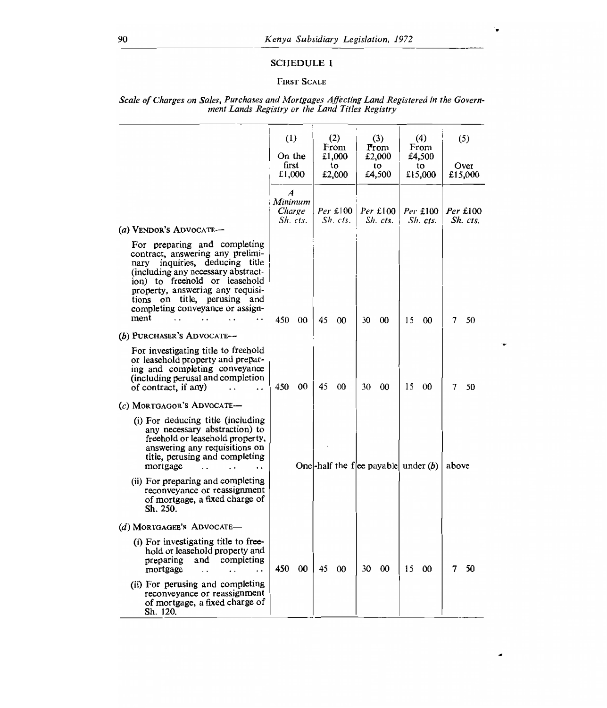## SCHEDULE I

# FIRST SCALE

|                                                                                                                                                                                                                                                                                                 | $\left(1\right)$<br>On the<br>first<br>£1,000 |                               | (2)<br>From<br>£1,000<br>to<br>£2,000 |                        | (3)<br>From<br>£2,000<br>to<br>£4,500 |                                       | (4)<br>From<br>£4,500<br>to<br>£15,000 |                      | (5)<br>Over<br>£15,000 |                        |
|-------------------------------------------------------------------------------------------------------------------------------------------------------------------------------------------------------------------------------------------------------------------------------------------------|-----------------------------------------------|-------------------------------|---------------------------------------|------------------------|---------------------------------------|---------------------------------------|----------------------------------------|----------------------|------------------------|------------------------|
|                                                                                                                                                                                                                                                                                                 | $\boldsymbol{A}$                              | Minimum<br>Charge<br>Sh. cts. |                                       | $Per$ £100<br>Sh. cts. |                                       | $Per$ £100<br>Sh. cts.                |                                        | Per £100<br>Sh. cts. |                        | $Per$ £100<br>Sh. cts. |
| (a) VENDOR'S ADVOCATE-                                                                                                                                                                                                                                                                          |                                               |                               |                                       |                        |                                       |                                       |                                        |                      |                        |                        |
| For preparing and completing<br>contract, answering any prelimi-<br>inquiries, deducing title<br>nary<br>(including any necessary abstract-<br>ion) to freehold or leasehold<br>property, answering any requisi-<br>tions on title, perusing<br>and<br>completing conveyance or assign-<br>ment | 450                                           | 00                            | 45                                    | 00                     | 30                                    | 00                                    | 15                                     | 00                   | 7                      | 50                     |
| (b) PURCHASER'S ADVOCATE--                                                                                                                                                                                                                                                                      |                                               |                               |                                       |                        |                                       |                                       |                                        |                      |                        |                        |
| For investigating title to freehold<br>or leasehold property and prepar-<br>ing and completing conveyance<br>(including perusal and completion<br>of contract, if any)<br>$\ddot{\phantom{0}}$<br>$\ddot{\phantom{0}}$                                                                          | 450                                           | 00                            | 45                                    | 00                     | 30                                    | $00\,$                                | 15                                     | 00                   | 7                      | 50                     |
| $(c)$ MORTGAGOR'S ADVOCATE $-$                                                                                                                                                                                                                                                                  |                                               |                               |                                       |                        |                                       |                                       |                                        |                      |                        |                        |
| (i) For deducing title (including<br>any necessary abstraction) to<br>freehold or leasehold property,<br>answering any requisitions on<br>title, perusing and completing<br>mortgage<br>. .                                                                                                     |                                               |                               |                                       |                        |                                       | One-half the flee payable under $(b)$ |                                        |                      | above                  |                        |
| (ii) For preparing and completing<br>reconveyance or reassignment<br>of mortgage, a fixed charge of<br>Sh. 250.                                                                                                                                                                                 |                                               |                               |                                       |                        |                                       |                                       |                                        |                      |                        |                        |
| (d) MORTGAGEE'S ADVOCATE-                                                                                                                                                                                                                                                                       |                                               |                               |                                       |                        |                                       |                                       |                                        |                      |                        |                        |
| (i) For investigating title to free-<br>hold or leasehold property and<br>completing<br>preparing<br>and<br>mortgage<br>$\cdot$ .                                                                                                                                                               | 450                                           | 00                            | 45                                    | 00                     | 30                                    | 00                                    | 15                                     | 00                   | 7                      | 50                     |
| (ii) For perusing and completing<br>reconveyance or reassignment                                                                                                                                                                                                                                |                                               |                               |                                       |                        |                                       |                                       |                                        |                      |                        |                        |

٠

of mortgage, a fixed charge of

Sh. 120.

#### *Scale of Charges on Sales, Purchases and Mortgages Affecting Land Registered in the Government Lands Registry or the Land Titles Registry*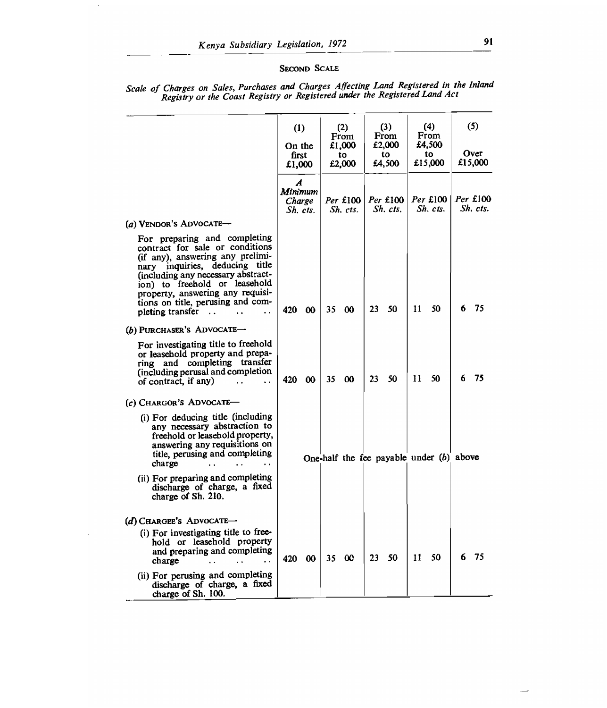## SECOND SCALE

|                                                                                                                                                                                                                                                                                                                 |                 | (1)<br>On the                 |              | (2)<br>From<br>£1,000  |              | (3)<br>From<br>£2,000 |               | (4)<br>From<br>£4,500                    |   | (5)                    |
|-----------------------------------------------------------------------------------------------------------------------------------------------------------------------------------------------------------------------------------------------------------------------------------------------------------------|-----------------|-------------------------------|--------------|------------------------|--------------|-----------------------|---------------|------------------------------------------|---|------------------------|
|                                                                                                                                                                                                                                                                                                                 | first<br>£1,000 |                               | tο<br>£2,000 |                        | tο<br>£4,500 |                       | to<br>£15,000 |                                          |   | Over<br>£15,000        |
|                                                                                                                                                                                                                                                                                                                 | A               | Minimum<br>Charge<br>Sh. cts. |              | $Per$ £100<br>Sh. cts. |              | Per £100<br>Sh. cis.  |               | Per £100<br>Sh. cis.                     |   | $Per$ £100<br>Sh. cis. |
| (a) VENDOR'S ADVOCATE-                                                                                                                                                                                                                                                                                          |                 |                               |              |                        |              |                       |               |                                          |   |                        |
| For preparing and completing<br>contract for sale or conditions<br>(if any), answering any prelimi-<br>nary inquiries, deducing title<br>(including any necessary abstract-<br>ion) to freehold or leasehold<br>property, answering any requisi-<br>tions on title, perusing and com-<br>pleting transfer<br>å. | 420             | - 00                          | 35           | $\boldsymbol{\omega}$  | 23           | 50                    | 11            | 50                                       | 6 | -75                    |
| (b) PURCHASER'S ADVOCATE-                                                                                                                                                                                                                                                                                       |                 |                               |              |                        |              |                       |               |                                          |   |                        |
| For investigating title to freehold<br>or leasehold property and prepa-<br>ring and completing transfer<br>(including perusal and completion<br>of contract, if any)<br>i.                                                                                                                                      | 420 00          |                               | 35           | $\boldsymbol{\omega}$  | 23           | 50                    | 11            | 50                                       | 6 | 75                     |
| (c) CHARGOR'S ADVOCATE-                                                                                                                                                                                                                                                                                         |                 |                               |              |                        |              |                       |               |                                          |   |                        |
| (i) For deducing title (including<br>any necessary abstraction to<br>freehold or leasehold property,<br>answering any requisitions on<br>title, perusing and completing<br>charge<br>(ii) For preparing and completing                                                                                          |                 |                               |              |                        |              |                       |               | One-half the fee payable under (b) above |   |                        |
| discharge of charge, a fixed<br>charge of Sh. 210.                                                                                                                                                                                                                                                              |                 |                               |              |                        |              |                       |               |                                          |   |                        |
| $(d)$ Chargee's Advocate-                                                                                                                                                                                                                                                                                       |                 |                               |              |                        |              |                       |               |                                          |   |                        |
| (i) For investigating title to free-<br>hold or leasehold property<br>and preparing and completing<br>charge                                                                                                                                                                                                    | 420             | $\boldsymbol{\infty}$         | 35.          | $\infty$               | 23           | 50                    | 11            | 50                                       | 6 | - 75                   |
| (ii) For perusing and completing<br>discharge of charge, a fixed<br>charge of Sh. 100.                                                                                                                                                                                                                          |                 |                               |              |                        |              |                       |               |                                          |   |                        |

#### *Scale of Charges on Sales, Purchases and Charges Affecting Land Registered in the Inland Registry or the Coast Registry or Registered under the Registered Land Act*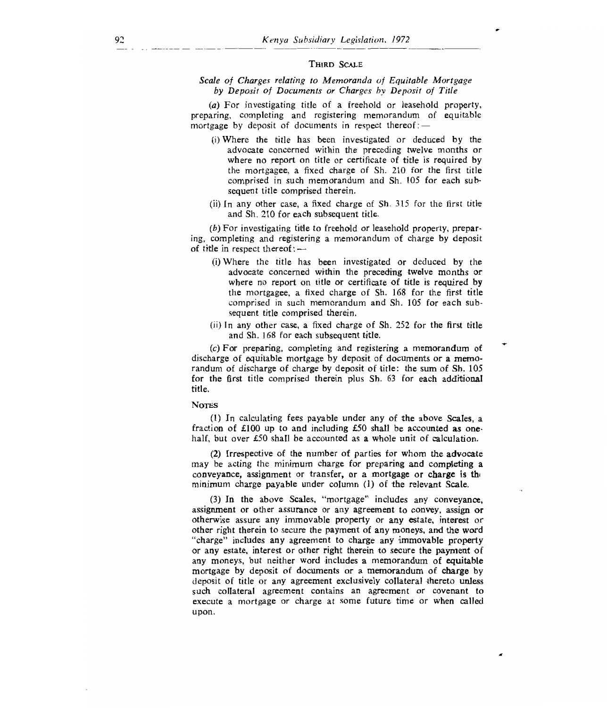## THIRD SCALE

## *Scale of Charges relating to Memoranda of Equitable Mortgage by Deposit of Documents or Charges by Deposit of Title*

*(a)* For investigating title of a freehold or leasehold property, preparing, completing and registering memorandum of equitable mortgage by deposit of documents in respect thereof  $:$   $-$ 

- (i)Where the title has been investigated or deduced by the advocate concerned within the preceding twelve months or where no report on title or certificate of title is required by the mortgagee, a fixed charge of Sh. 210 for the first title comprised in such memorandum and Sh. 105 for each subsequent title comprised therein.
- (ii) In any other case, a fixed charge of Sh. 315 for the first title and Sh. 210 for each subsequent title.

*(b) For* investigating title to freehold or leasehold property, preparing, completing and registering a memorandum of charge by deposit of title in respect thereof :  $-$ 

- (i)Where the title has been investigated or deduced by the advocate concerned within the preceding twelve months or where no report on title or certificate of title is required by the mortgagee, a fixed charge of Sh. 168 for the first title comprised in such memorandum and Sh. 105 for each subsequent title comprised therein.
- (ii) In any other case, a fixed charge of Sh. 252 for the first title and Sh. 168 for each subsequent title.

*(c) For* preparing, completing and registering a memorandum of discharge of equitable mortgage by deposit of documents or a memorandum of discharge of charge by deposit of title: the sum of Sh. 105 for the first title comprised therein plus Sh. 63 for each additional title.

#### **Notes**

(1) In calculating fees payable under any of the above Scales, a fraction of £100 up to and including £50 shall be accounted as onehalf, but over £50 shall be accounted as a whole unit of calculation.

(2) Irrespective of the number of parties for whom the advocate may be acting the minimum charge for preparing and completing a conveyance, assignment or transfer, or a mortgage or charge is the minimum charge payable under column (1) of the relevant Scale.

(3) In the above Scales, "mortgage" includes any conveyance, assignment or other assurance or any agreement to convey, assign or otherwise assure any immovable property or any estate, interest or other right therein to secure the payment of any moneys, and the word "charge" includes any agreement to charge any immovable property or any estate, interest or other right therein to secure the payment of any moneys, but neither word includes a memorandum of equitable mortgage by deposit of documents or a memorandum of charge by deposit of title or any agreement exclusively collateral thereto unless such collateral agreement contains an agreement or covenant to execute a mortgage or charge at some future time or when called upon.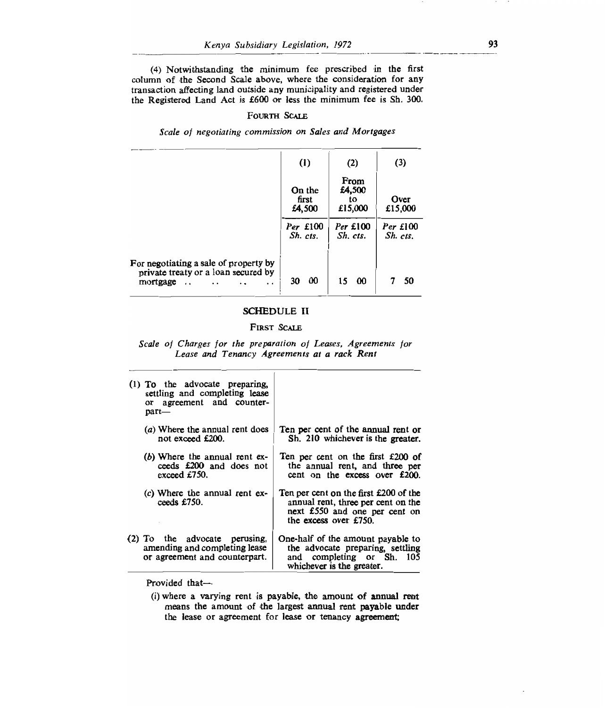(4) Notwithstanding the minimum fee prescribed in the first column of the Second Scale above, where the consideration for any transaction affecting land outside any municipality and registered under the Registered Land Act is £600 or less the minimum *fee* is Sh. 300.

#### FOURTH SCALE

*Scale of negotiating commission on Sales and Mortgages* 

|                                                                                                                                          | (1)                       | (2)                             | (3)                  |
|------------------------------------------------------------------------------------------------------------------------------------------|---------------------------|---------------------------------|----------------------|
|                                                                                                                                          | On the<br>first<br>£4,500 | From<br>£4,500<br>to<br>£15,000 | Over<br>£15,000      |
|                                                                                                                                          | Per £100<br>$Sh.$ $cts.$  | Per £100<br>Sh. cts.            | Per £100<br>Sh. cts. |
| For negotiating a sale of property by<br>private treaty or a loan secured by<br>mortgage<br>$\ddot{\phantom{a}}$<br>$\ddot{\phantom{0}}$ | -00<br>30                 | 15<br>-00                       | 50                   |

## SCHEDULE II

## FIRST SCALE

*Scale of Charges for the preparation of Leases, Agreements for Lease and Tenancy Agreements at a rack Rent* 

| (1) To the advocate preparing,<br>settling and completing lease<br>or agreement and counter-<br>part— |                                                                                                                                       |
|-------------------------------------------------------------------------------------------------------|---------------------------------------------------------------------------------------------------------------------------------------|
| (a) Where the annual rent does<br>not exceed £200.                                                    | Ten per cent of the annual rent or<br>Sh. 210 whichever is the greater.                                                               |
| (b) Where the annual rent ex-<br>ceeds £200 and does not<br>exceed £750.                              | Ten per cent on the first £200 of<br>the annual rent, and three per<br>cent on the excess over £200.                                  |
| (c) Where the annual rent ex-<br>ceeds £750.                                                          | Ten per cent on the first £200 of the<br>annual rent, three per cent on the<br>next £550 and one per cent on<br>the excess over £750. |
| (2) To the advocate perusing,<br>amending and completing lease<br>or agreement and counterpart.       | One-half of the amount payable to<br>the advocate preparing, settling<br>and completing or Sh. 105<br>whichever is the greater.       |

Provided that-

<sup>(</sup>i) where a varying rent is payable, the amount of annual rent means the amount of the largest annual rent payable under the lease or agreement for lease or tenancy agreement;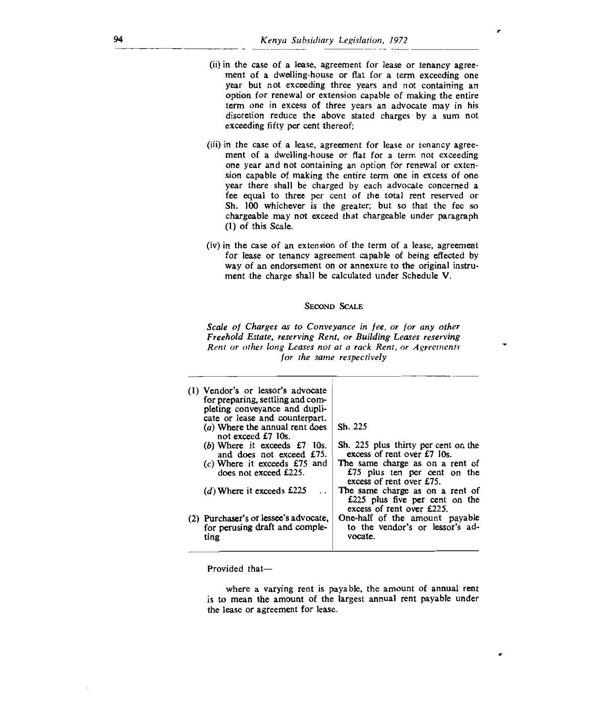- (ii) in the case of a lease, agreement for lease or tenancy agreement of a dwelling-house or flat for a term exceeding one year but not exceeding three years and not containing an option for renewal or extension capable of making the entire term one in excess of three years an advocate may in his discretion reduce the above stated charges by a sum not exceeding fifty per cent thereof;
- (iii)in the case of a lease, agreement for lease or tenancy agreement of a dwelling-house or flat for a term not exceeding one year and not containing an option for renewal or extension capable of making the entire term one in excess of one year there shall be charged by each advocate concerned a fee equal to three per cent of the total rent reserved or Sh. 100 whichever is the greater; but so that the fee so chargeable may not exceed that chargeable under paragraph (1) of this Scale.
- (iv)in the case of an extension of the term of a lease, agreement for lease or tenancy agreement capable of being effected by way of an endorsement on or annexure to the original instrument the charge shall be calculated under Schedule V.

## SECOND SCALE

Scale of Charges as to Conveyance in fee, or for any other Freehold Estate, reserving Rent, or Building Leases reserving Rent or other long Leases not at a rack Rent, or Agreements for the same respectively

| pleting conveyance and dupli-<br>cate or lease and counterpart.<br>Sh. 225<br>(a) Where the annual rent does<br>not exceed £7 10s.<br>Sh. 225 plus thirty per cent on the<br>(b) Where it exceeds $£7$ 10s.<br>excess of rent over £7 10s.<br>and does not exceed £75.<br>The same charge as on a rent of<br>$(c)$ Where it exceeds £75 and<br>does not exceed £225.<br>£75 plus ten per cent on the<br>excess of rent over £75.<br>The same charge as on a rent of<br>(d) Where it exceeds $£225$<br>£225 plus five per cent on the<br>excess of rent over £225.<br>One-half of the amount payable<br>(2) Purchaser's or lessee's advocate.<br>to the vendor's or lessor's ad- |
|---------------------------------------------------------------------------------------------------------------------------------------------------------------------------------------------------------------------------------------------------------------------------------------------------------------------------------------------------------------------------------------------------------------------------------------------------------------------------------------------------------------------------------------------------------------------------------------------------------------------------------------------------------------------------------|
| for perusing draft and comple-<br>vocate.<br>ting                                                                                                                                                                                                                                                                                                                                                                                                                                                                                                                                                                                                                               |

Provided that—

where a varying rent is payable, the amount of annual rent is to mean the amount of the largest annual rent payable under the lease or agreement for lease.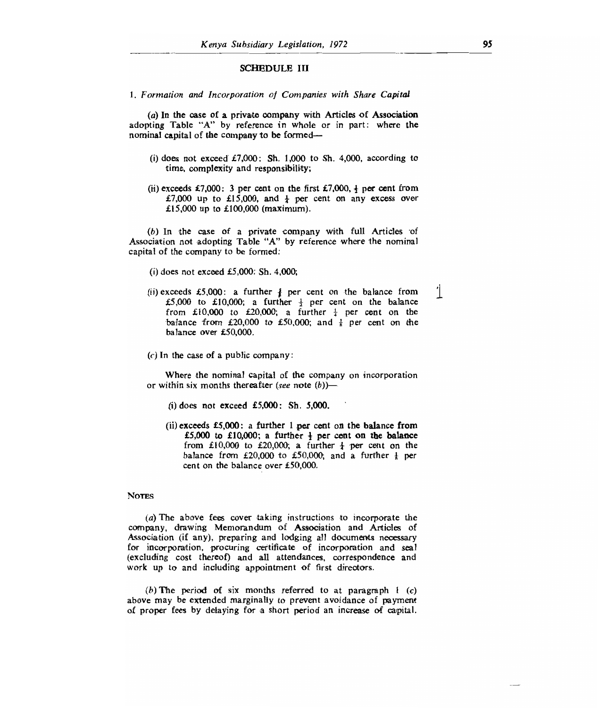#### SCHEDULE III

*1. Formation and Incorporation of Companies with Share Capital* 

(a) In the case of a private company with Articles of Association adopting Table "A" by reference in whole or in part: where the nominal capital of the company to be formed—

- (i) does not exceed  $£7,000$ : Sh. 1,000 to Sh. 4,000, according to time, complexity and responsibility;
- (ii) exceeds £7,000: 3 per cent on the first £7,000,  $\frac{1}{2}$  per cent from £7,000 up to £15,000, and  $\frac{1}{4}$  per cent on any excess over £15,000 up to £100,000 (maximum).

*(b)* In the case of a private company with full Articles of Association not adopting Table "A" by reference where the nominal capital of the company to be formed:

(i) does not exceed  $£5,000$ : Sh. 4,000;

- (ii) exceeds £5,000: a further  $\frac{1}{2}$  per cent on the balance from £5,000 to £10,000; a further  $\frac{1}{2}$  per cent on the balance from £10,000 to £20,000; a further  $\frac{1}{4}$  per cent on the balance from £20,000 to £50,000; and  $\frac{1}{8}$  per cent on the balance over £50,000.
- *(c) In* the case of a public company:

Where the nominal capital of the company on incorporation or within six months thereafter *(see* note *(b))—* 

**(i)does not exceed £5,000: Sh. 5,000.** 

**(ii)exceeds £5,000: a further 1 per cent on the balance from**   $£5,000$  to  $£10,000$ ; a further  $\frac{1}{2}$  per cent on the balance from £10,000 to £20,000; a further  $\frac{1}{4}$  per cent on the balance from £20,000 to £50,000; and a further  $\frac{1}{2}$  per cent on the balance over £50,000.

#### **Notes**

*(a) The* above fees cover taking instructions to incorporate the company, drawing Memorandum of Association and Articles of Association (if any), preparing and lodging all documents necessary for incorporation, procuring certificate of incorporation and seal (excluding cost thereof) and all attendances, correspondence and work up to and including appointment of first directors.

*(b) The* **period of** six months referred to at paragraph 1 *(c)*  above may be extended marginally to prevent avoidance of payment of proper fees by delaying for a short period an increase of capital.  $\mathbf{1}$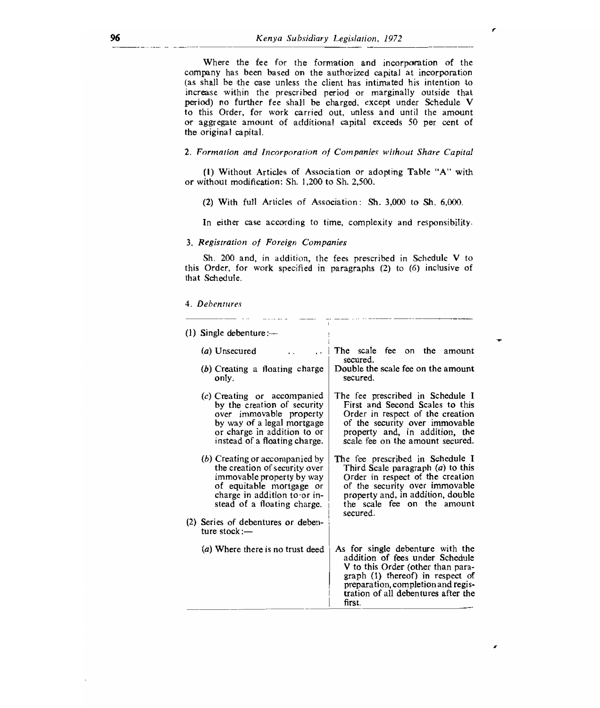Where the fee for the formation and incorporation of the company has been based on the authorized capital at incorporation (as shall be the case unless the client has intimated his intention to increase 'within the prescribed period or marginally outside that period) no further fee shall be charged, except under Schedule V to this Order, for work carried out, unless and until the amount or aggregate amount of additional capital exceeds 50 per cent of the original capital.

## 2. Formation and Incorporation of Companies without Share Capital

(I) Without Articles of Association or adopting Table "A" with or without modification: Sh. 1,200 to Sh. 2,500.

(2) With full Articles of Association : Sh. 3,000 to Sh. 6,000.

In either case according to time, complexity and responsibility.

#### *3. Registration of* Foreign *Companies*

Sh. 200 and, in addition, the fees prescribed in Schedule V to this Order, for work specified in paragraphs (2) to (6) inclusive of that Schedule.

#### 4. Debentures

| (1) Single debenture: $-$                                                                                                                                                                                                                        |                                                                                                                                                                                                                                     |
|--------------------------------------------------------------------------------------------------------------------------------------------------------------------------------------------------------------------------------------------------|-------------------------------------------------------------------------------------------------------------------------------------------------------------------------------------------------------------------------------------|
| (a) Unsecured                                                                                                                                                                                                                                    | The scale fee on the<br>amount<br>secured.                                                                                                                                                                                          |
| $(b)$ Creating a floating charge<br>only.                                                                                                                                                                                                        | Double the scale fee on the amount<br>secured.                                                                                                                                                                                      |
| $(c)$ Creating or accompanied<br>by the creation of security<br>over immovable property<br>by way of a legal mortgage<br>or charge in addition to or<br>instead of a floating charge.                                                            | The fee prescribed in Schedule I<br>First and Second Scales to this<br>Order in respect of the creation<br>of the security over immovable<br>property and, in addition, the<br>scale fee on the amount secured.                     |
| $(b)$ Creating or accompanied by<br>the creation of security over<br>immovable property by way<br>of equitable mortgage or<br>charge in addition to or in-<br>stead of a floating charge.<br>(2) Series of debentures or deben-<br>ture $stock:$ | The fee prescribed in Schedule I<br>Third Scale paragraph $(a)$ to this<br>Order in respect of the creation<br>of the security over immovable<br>property and, in addition, double<br>the scale fee on the amount<br>secured.       |
| (a) Where there is no trust deed                                                                                                                                                                                                                 | As for single debenture with the<br>addition of fees under Schedule<br>V to this Order (other than para-<br>graph (1) thereof) in respect of<br>preparation, completion and regis-<br>tration of all debentures after the<br>first. |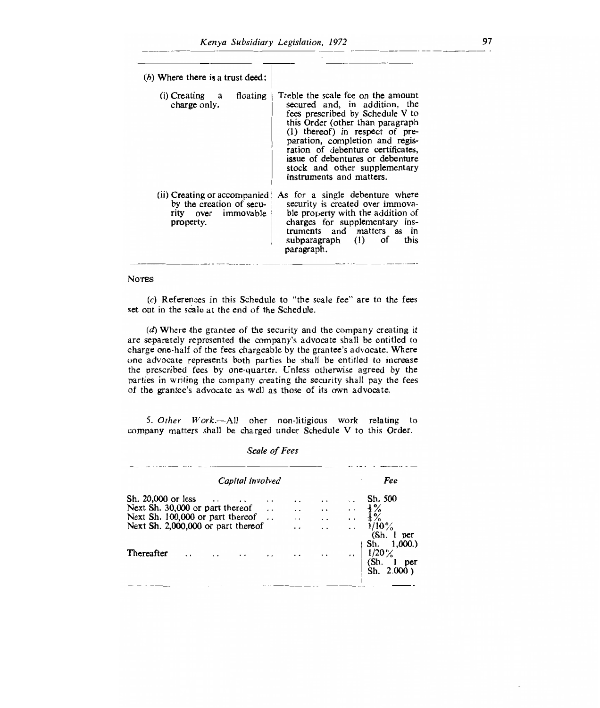| $(b)$ Where there is a trust deed:                                                             |                                                                                                                                                                                                                                                                                                                                                           |
|------------------------------------------------------------------------------------------------|-----------------------------------------------------------------------------------------------------------------------------------------------------------------------------------------------------------------------------------------------------------------------------------------------------------------------------------------------------------|
| $(i)$ Creating a<br>floating<br>charge only.                                                   | Treble the scale fee on the amount<br>secured and, in addition, the<br>fees prescribed by Schedule V to<br>this Order (other than paragraph<br>$(1)$ thereof) in respect of pre-<br>paration, completion and regis-<br>ration of debenture certificates,<br>issue of debentures or debenture<br>stock and other supplementary<br>instruments and matters. |
| (ii) Creating or accompanied (<br>by the creation of secu-<br>rity over immovable<br>property. | As for a single debenture where<br>security is created over immova-<br>ble property with the addition of<br>charges for supplementary ins-<br>truments and matters as in<br>subparagraph (1) of<br>this<br>paragraph.                                                                                                                                     |

## NOTES

 $(c)$  References in this Schedule to "the scale fee" are to the fees set out in the scale at the end of the Schedule.

(d)Where the grantee of the security and the company creating it are separately represented the company's advocate shall be entitled to charge one-half of the fees chargeable by the grantee's advocate. Where one advocate represents both parties he shall be entitled to increase the prescribed fees by one-quarter. Unless otherwise agreed by the parties in writing the company creating the security shall pay the fees of the grantee's advocate as well as those of its own advocate.

*5. Other Work.—All* oher non-litigious work relating to company matters shall be charged under Schedule V to this Order.

*Scale of Fees* 

|                                                                        |  | Capital involved |                 |                      | Fee                                                    |
|------------------------------------------------------------------------|--|------------------|-----------------|----------------------|--------------------------------------------------------|
| Sh. 20,000 or less<br>Next Sh. 30,000 or part thereof                  |  | $\cdot$ .        |                 | . .<br>$\cdot$       | Sh. 500                                                |
| Next Sh. 100,000 or part thereof<br>Next Sh. 2,000,000 or part thereof |  |                  | $\cdot$ $\cdot$ | $\ddot{\phantom{1}}$ | $1/10\%$<br>(Sh)<br>per                                |
| Thereafter                                                             |  |                  |                 | $\ddot{\phantom{a}}$ | Sh. 1,000.<br>$1/20\%$<br>(Sh.<br>per<br>Sh. $2.000$ ) |
|                                                                        |  |                  |                 |                      |                                                        |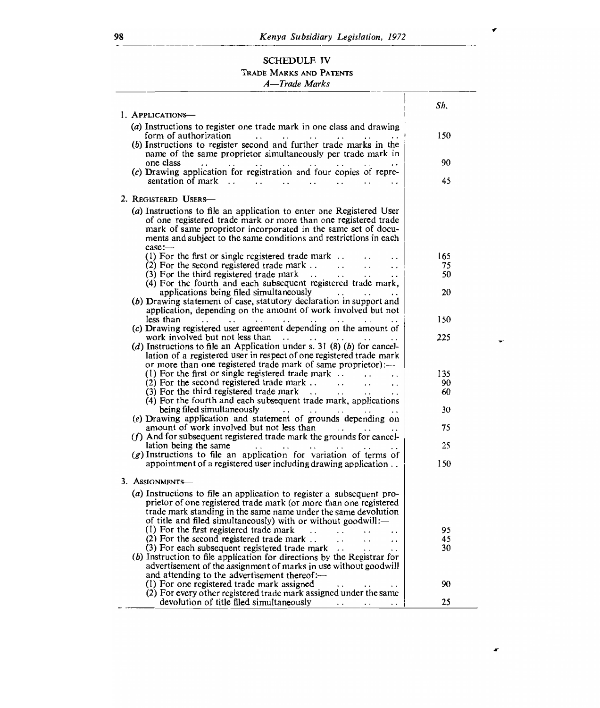# SCHEDULE IV TRADE MARKS AND PATENTS

# *A—Trade Marks*

|                                                                                                                                               | Sh.       |
|-----------------------------------------------------------------------------------------------------------------------------------------------|-----------|
| I. APPLICATIONS-                                                                                                                              |           |
| (a) Instructions to register one trade mark in one class and drawing                                                                          |           |
| form of authorization<br>$\ddot{\phantom{a}}$<br>$\ddot{\phantom{a}}$                                                                         | 150       |
| (b) Instructions to register second and further trade marks in the<br>name of the same proprietor simultaneously per trade mark in            |           |
| one class<br>$\sim$ $\sim$<br>$\sim$ $\sim$<br>$\cdot$ .<br>$\ddotsc$                                                                         | 90        |
| (c) Drawing application for registration and four copies of repre-                                                                            |           |
| $\sim$ 100 $\sim$<br>$\ddot{\phantom{0}}$                                                                                                     | 45        |
|                                                                                                                                               |           |
| 2. REGISTERED USERS-                                                                                                                          |           |
| (a) Instructions to file an application to enter one Registered User                                                                          |           |
| of one registered trade mark or more than one registered trade                                                                                |           |
| mark of same proprietor incorporated in the same set of docu-                                                                                 |           |
| ments and subject to the same conditions and restrictions in each<br>case:                                                                    |           |
| (1) For the first or single registered trade mark $\ldots$                                                                                    | 165       |
| (2) For the second registered trade mark $\dots$<br>$\sim$ $\sim$                                                                             | 75        |
| (3) For the third registered trade mark<br>$\ddotsc$                                                                                          | 50        |
| (4) For the fourth and each subsequent registered trade mark,                                                                                 |           |
| applications being filed simultaneously<br>contact of the state                                                                               | 20        |
| (b) Drawing statement of case, statutory declaration in support and                                                                           |           |
| application, depending on the amount of work involved but not<br>less than<br>$\cdots$<br>$\cdots$                                            | 150       |
| (c) Drawing registered user agreement depending on the amount of                                                                              |           |
| work involved but not less than<br>$\sim$ .                                                                                                   | 225       |
| ( $d$ ) Instructions to file an Application under s. 31 (8) ( $b$ ) for cancel-                                                               |           |
| lation of a registered user in respect of one registered trade mark                                                                           |           |
| or more than one registered trade mark of same proprietor):—                                                                                  |           |
| (1) For the first or single registered trade mark $\therefore$<br>$(2)$ For the second registered trade mark                                  | 135<br>90 |
| $\cdots$<br>$\overline{\phantom{a}}$<br>(3) For the third registered trade mark<br>$\cdot$ .                                                  | 60        |
| (4) For the fourth and each subsequent trade mark, applications                                                                               |           |
| being filed simultaneously<br><b>SALE STATE</b><br>$\cdot$ .                                                                                  | 30        |
| (e) Drawing application and statement of grounds depending on                                                                                 |           |
| amount of work involved but not less than                                                                                                     | 75        |
| $(f)$ And for subsequent registered trade mark the grounds for cancel-                                                                        |           |
| lation being the same<br>$(g)$ Instructions to file an application for variation of terms of                                                  | 25        |
| appointment of a registered user including drawing application                                                                                | 150       |
|                                                                                                                                               |           |
| 3. ASSIGNMENTS                                                                                                                                |           |
| $(a)$ Instructions to file an application to register a subsequent pro-                                                                       |           |
| prietor of one registered trade mark (or more than one registered                                                                             |           |
| trade mark standing in the same name under the same devolution                                                                                |           |
| of title and filed simultaneously) with or without goodwill:-                                                                                 |           |
| (1) For the first registered trade mark<br>$\sim$<br>$\ddot{\phantom{a}}$<br>(2) For the second registered trade mark<br>$\ddot{\phantom{a}}$ | 95<br>45  |
| $\ddot{\phantom{a}}$<br>$\ddot{\phantom{a}}$<br>(3) For each subsequent registered trade mark                                                 | 30        |
| (b) Instruction to file application for directions by the Registrar for                                                                       |           |
| advertisement of the assignment of marks in use without goodwill                                                                              |           |
| and attending to the advertisement thereof:-                                                                                                  |           |
| (1) For one registered trade mark assigned                                                                                                    | 90        |
| (2) For every other registered trade mark assigned under the same<br>devolution of title filed simultaneously                                 | 25        |
|                                                                                                                                               |           |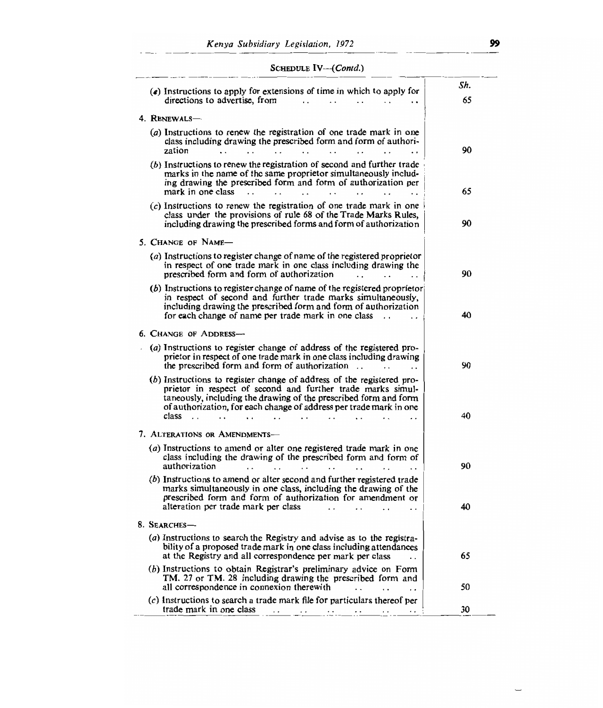| $(e)$ Instructions to apply for extensions of time in which to apply for<br>directions to advertise, from<br>$\cdot$ .                                                                                                                                                                                                                                          | Sh.<br>65 |
|-----------------------------------------------------------------------------------------------------------------------------------------------------------------------------------------------------------------------------------------------------------------------------------------------------------------------------------------------------------------|-----------|
|                                                                                                                                                                                                                                                                                                                                                                 |           |
| 4. RENEWALS-<br>(a) Instructions to renew the registration of one trade mark in one                                                                                                                                                                                                                                                                             |           |
| class including drawing the prescribed form and form of authori-<br>zation<br>$\ddot{\phantom{a}}$<br>$\ddot{\phantom{0}}$<br>$\ddot{\phantom{0}}$                                                                                                                                                                                                              | 90        |
| (b) Instructions to renew the registration of second and further trade<br>marks in the name of the same proprietor simultaneously includ-<br>ing drawing the prescribed form and form of authorization per<br>mark in one class                                                                                                                                 | 65        |
| (c) Instructions to renew the registration of one trade mark in one<br>class under the provisions of rule 68 of the Trade Marks Rules,<br>including drawing the prescribed forms and form of authorization                                                                                                                                                      | 90        |
| 5. Change of Name—                                                                                                                                                                                                                                                                                                                                              |           |
| (a) Instructions to register change of name of the registered proprietor<br>in respect of one trade mark in one class including drawing the<br>prescribed form and form of authorization                                                                                                                                                                        | 90        |
| (b) Instructions to register change of name of the registered proprietor<br>in respect of second and further trade marks simultaneously,<br>including drawing the prescribed form and form of authorization<br>for each change of name per trade mark in one class                                                                                              | 40        |
| <b>6. CHANGE OF ADDRESS-</b>                                                                                                                                                                                                                                                                                                                                    |           |
| (a) Instructions to register change of address of the registered pro-<br>prietor in respect of one trade mark in one class including drawing<br>the prescribed form and form of authorization<br>$\cdot$ .<br>$\ddot{\phantom{0}}$                                                                                                                              | 90        |
| (b) Instructions to register change of address of the registered pro-<br>prietor in respect of second and further trade marks simul-<br>taneously, including the drawing of the prescribed form and form<br>of authorization, for each change of address per trade mark in one<br>class<br>$\ddot{\phantom{0}}$<br>$\ddot{\phantom{0}}$<br>$\ddot{\phantom{0}}$ | 40        |
| 7. ALTERATIONS OR AMENDMENTS-                                                                                                                                                                                                                                                                                                                                   |           |
| (a) Instructions to amend or alter one registered trade mark in one<br>class including the drawing of the prescribed form and form of<br>authorization<br>$\ddot{\phantom{a}}$<br>$\ddot{\phantom{0}}$<br>$\ddot{\phantom{a}}$<br>$\sim$                                                                                                                        | 90        |
| (b) Instructions to amend or alter second and further registered trade<br>marks simultaneously in one class, including the drawing of the<br>prescribed form and form of authorization for amendment or<br>alteration per trade mark per class                                                                                                                  | 40        |
| 8. SEARCHES-                                                                                                                                                                                                                                                                                                                                                    |           |
| (a) Instructions to search the Registry and advise as to the registra-<br>bility of a proposed trade mark in one class including attendances<br>at the Registry and all correspondence per mark per class                                                                                                                                                       | 65        |
| (b) Instructions to obtain Registrar's preliminary advice on Form<br>TM. 27 or TM. 28 including drawing the prescribed form and<br>all correspondence in connexion therewith                                                                                                                                                                                    | 50        |
| (c) Instructions to search a trade mark file for particulars thereof per<br>trade mark in one class<br>$\ddotsc$<br>$\ddotsc$                                                                                                                                                                                                                                   | 30        |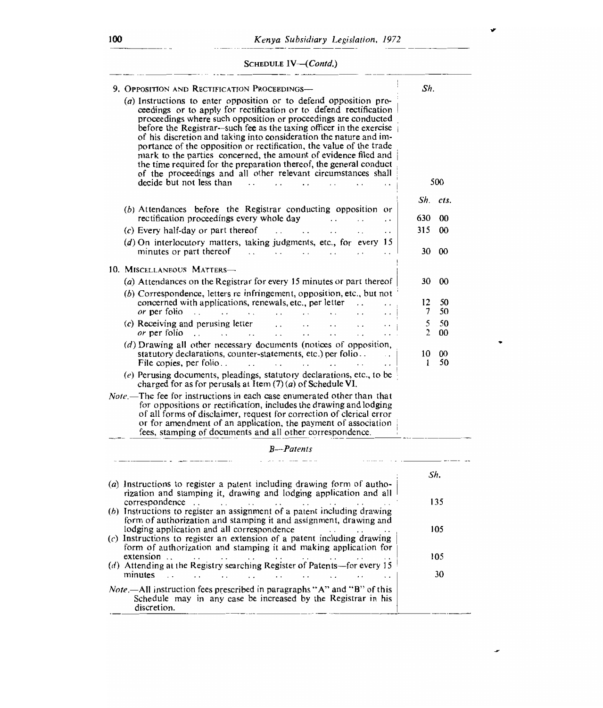# SCHEDULE *IV—(Contd.)*

| 9. OPPOSITION AND RECTIFICATION PROCEEDINGS-                                                                                                                                                                                                                                                                                                                                                                                                                                                                                                                                                                                                                         | Sh.                           |
|----------------------------------------------------------------------------------------------------------------------------------------------------------------------------------------------------------------------------------------------------------------------------------------------------------------------------------------------------------------------------------------------------------------------------------------------------------------------------------------------------------------------------------------------------------------------------------------------------------------------------------------------------------------------|-------------------------------|
| $(a)$ Instructions to enter opposition or to defend opposition pro-<br>ceedings or to apply for rectification or to defend rectification<br>proceedings where such opposition or proceedings are conducted<br>before the Registrar-such fee as the taxing officer in the exercise<br>of his discretion and taking into consideration the nature and im-<br>portance of the opposition or rectification, the value of the trade<br>mark to the parties concerned, the amount of evidence filed and<br>the time required for the preparation thereof, the general conduct<br>of the proceedings and all other relevant circumstances shall<br>decide but not less than | 500                           |
|                                                                                                                                                                                                                                                                                                                                                                                                                                                                                                                                                                                                                                                                      |                               |
| (b) Attendances before the Registrar conducting opposition or<br>rectification proceedings every whole day<br>$\sim$ $\sim$<br>$\ddot{\phantom{0}}$<br>$\ddot{\phantom{0}}$                                                                                                                                                                                                                                                                                                                                                                                                                                                                                          | Sh. cts.<br>630<br>00         |
| $(c)$ Every half-day or part thereof<br>$\mathbf{L}$<br>$\ddot{\phantom{0}}$<br>$\ddot{\phantom{0}}$<br>$\cdot$ .<br>. .                                                                                                                                                                                                                                                                                                                                                                                                                                                                                                                                             | 315<br>00                     |
| $(d)$ On interlocutory matters, taking judgments, etc., for every 15<br>minutes or part thereof<br>$\sim$ $\sim$<br>$\sim$ $\sim$<br>$\ddot{\phantom{a}}$<br>$\sim$                                                                                                                                                                                                                                                                                                                                                                                                                                                                                                  | 30<br>00                      |
| 10. MISCELLANEOUS MATTERS-                                                                                                                                                                                                                                                                                                                                                                                                                                                                                                                                                                                                                                           |                               |
| (a) Attendances on the Registrar for every 15 minutes or part thereof                                                                                                                                                                                                                                                                                                                                                                                                                                                                                                                                                                                                | 30<br>00                      |
| (b) Correspondence, letters re infringement, opposition, etc., but not                                                                                                                                                                                                                                                                                                                                                                                                                                                                                                                                                                                               |                               |
| concerned with applications, renewals, etc., per letter                                                                                                                                                                                                                                                                                                                                                                                                                                                                                                                                                                                                              | 50<br>12                      |
| or per folio<br>$\ddotsc$<br>$\ddot{\phantom{a}}$<br>$\ddotsc$<br>$\ddot{\phantom{0}}$                                                                                                                                                                                                                                                                                                                                                                                                                                                                                                                                                                               | 50<br>7                       |
| $(c)$ Receiving and perusing letter<br>$\ddot{\phantom{0}}$<br>$\ddot{\phantom{0}}$<br>or per folio<br>$\mathbf{r}$<br>$\cdot$ .<br>$\sim$ $\sim$ $\sim$<br>$\ddot{\phantom{0}}$<br>$\ddot{\phantom{0}}$                                                                                                                                                                                                                                                                                                                                                                                                                                                             | 5<br>50<br>$\mathbf{2}$<br>00 |
| (d) Drawing all other necessary documents (notices of opposition,<br>statutory declarations, counter-statements, etc.) per folio<br>$\ddot{\phantom{0}}$<br>File copies, per folio<br>$\cdot$ $\cdot$<br>$\ddot{\phantom{a}}$<br>$\ddot{\phantom{a}}$<br>$\sim 10^{-1}$                                                                                                                                                                                                                                                                                                                                                                                              | 10<br>00<br>50<br>1           |
| (e) Perusing documents, pleadings, statutory declarations, etc., to be<br>charged for as for perusals at Item $(7)(a)$ of Schedule VI.                                                                                                                                                                                                                                                                                                                                                                                                                                                                                                                               |                               |
| <i>Note</i> .—The fee for instructions in each case enumerated other than that<br>for oppositions or rectification, includes the drawing and lodging<br>of all forms of disclaimer, request for correction of clerical error<br>or for amendment of an application, the payment of association<br>fees, stamping of documents and all other correspondence.                                                                                                                                                                                                                                                                                                          |                               |
| B---Patents                                                                                                                                                                                                                                                                                                                                                                                                                                                                                                                                                                                                                                                          |                               |
|                                                                                                                                                                                                                                                                                                                                                                                                                                                                                                                                                                                                                                                                      |                               |
| (a) Instructions to register a patent including drawing form of autho-<br>rization and stamping it, drawing and lodging application and all                                                                                                                                                                                                                                                                                                                                                                                                                                                                                                                          | Sh.                           |
| correspondence                                                                                                                                                                                                                                                                                                                                                                                                                                                                                                                                                                                                                                                       | 135                           |
| (b) Instructions to register an assignment of a patent including drawing<br>form of authorization and stamping it and assignment, drawing and<br>lodging application and all correspondence                                                                                                                                                                                                                                                                                                                                                                                                                                                                          | 105                           |
| $(c)$ Instructions to register an extension of a patent including drawing<br>form of authorization and stamping it and making application for                                                                                                                                                                                                                                                                                                                                                                                                                                                                                                                        |                               |
| extension<br>$(d)$ Attending at the Registry searching Register of Patents—for every 15<br>minutes<br>$\sim$<br>$\sim$<br>$\ddot{\phantom{0}}$<br>$\ddot{\phantom{0}}$                                                                                                                                                                                                                                                                                                                                                                                                                                                                                               | 105<br>30                     |
| <i>Note</i> $-AII$ instruction fees prescribed in paragraphs "A" and "B" of this<br>Schedule may in any case be increased by the Registrar in his<br>discretion.                                                                                                                                                                                                                                                                                                                                                                                                                                                                                                     |                               |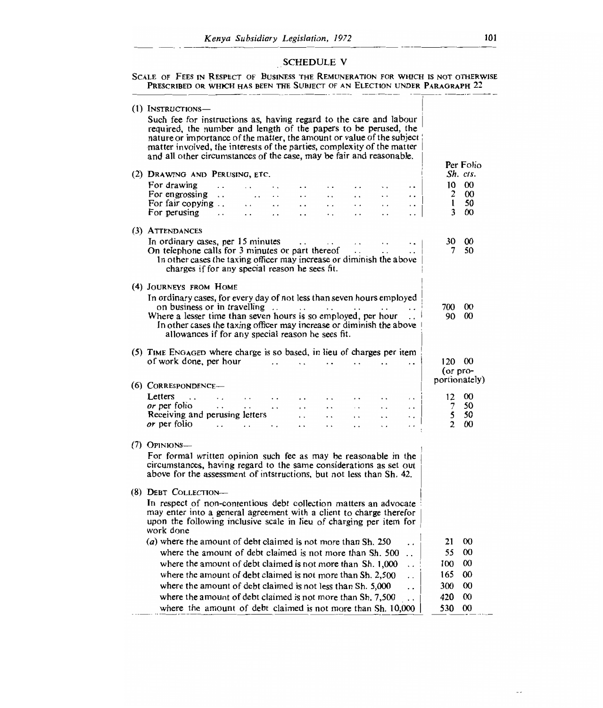# SCHEDULE V

#### SCALE OF FEES IN RESPECT OF BUSINESS THE REMUNERATION FOR WHICH IS NOT OTHERWIS PRESCRIBED OR WHICH HAS BEEN THE SUBJECT OF AN ELECTION UNDER PARAGRAPH 2

| (1) INSTRUCTIONS-<br>Such fee for instructions as, having regard to the care and labour<br>required, the number and length of the papers to be perused, the<br>nature or importance of the matter, the amount or value of the subject<br>matter involved, the interests of the parties, complexity of the matter<br>and all other circumstances of the case, may be fair and reasonable. |                | Per Folio     |
|------------------------------------------------------------------------------------------------------------------------------------------------------------------------------------------------------------------------------------------------------------------------------------------------------------------------------------------------------------------------------------------|----------------|---------------|
| (2) DRAWING AND PERUSING, ETC.                                                                                                                                                                                                                                                                                                                                                           |                | Sh. cts.      |
| For drawing<br>$\sim$<br>$\ddot{\phantom{0}}$<br>$\sim$<br>$\ddot{\phantom{1}}$<br>. .                                                                                                                                                                                                                                                                                                   | 10             | $\infty$      |
| For engrossing $\ldots$<br>$\ddot{\phantom{a}}$<br>$\ddot{\phantom{0}}$<br>$\ddot{\phantom{0}}$<br>. .                                                                                                                                                                                                                                                                                   | 2              | $\infty$      |
| For fair copying<br>$\ddotsc$<br>$\ddot{\phantom{a}}$<br>$\ddot{\phantom{a}}$<br>$\ddot{\phantom{0}}$<br>$\ddot{\phantom{0}}$<br>$\ddot{\phantom{0}}$<br>. .                                                                                                                                                                                                                             | t              | 50            |
| For perusing<br>$\ddot{\phantom{0}}$<br>$\ddot{\phantom{a}}$<br>. .<br>.,<br>$\ddotsc$                                                                                                                                                                                                                                                                                                   | 3              | $\infty$      |
| (3) ATTENDANCES                                                                                                                                                                                                                                                                                                                                                                          |                |               |
| In ordinary cases, per 15 minutes<br>$\ddot{\phantom{a}}$                                                                                                                                                                                                                                                                                                                                | 30             | 00            |
| On telephone calls for 3 minutes or part thereof<br>$\ddot{\phantom{0}}$                                                                                                                                                                                                                                                                                                                 | 7              | 50            |
| In other cases the taxing officer may increase or diminish the above                                                                                                                                                                                                                                                                                                                     |                |               |
| charges if for any special reason he sees fit.                                                                                                                                                                                                                                                                                                                                           |                |               |
| (4) JOURNEYS FROM HOME                                                                                                                                                                                                                                                                                                                                                                   |                |               |
| In ordinary cases, for every day of not less than seven hours employed                                                                                                                                                                                                                                                                                                                   |                |               |
| on business or in travelling $\ldots$                                                                                                                                                                                                                                                                                                                                                    | 700            | 00            |
| Where a lesser time than seven hours is so employed, per hour                                                                                                                                                                                                                                                                                                                            | 90             | $^{00}$       |
| In other cases the taxing officer may increase or diminish the above<br>allowances if for any special reason he sees fit.                                                                                                                                                                                                                                                                |                |               |
| (5) TIME ENGAGED where charge is so based, in lieu of charges per item                                                                                                                                                                                                                                                                                                                   |                |               |
| of work done, per hour<br>$\ddot{\phantom{a}}$<br>$\ddot{\phantom{a}}$                                                                                                                                                                                                                                                                                                                   | 120 00         |               |
|                                                                                                                                                                                                                                                                                                                                                                                          | (or pro-       |               |
| $(6)$ CORRESPONDENCE-                                                                                                                                                                                                                                                                                                                                                                    |                | portionately) |
| Letters<br>$\ddot{\phantom{0}}$<br>$\cdot$ $\cdot$<br>$\ddot{\phantom{0}}$<br>$\ddot{\phantom{0}}$<br>$\ddot{\phantom{0}}$<br>$\cdot$ $\cdot$                                                                                                                                                                                                                                            | 12             | $\infty$      |
| <i>or</i> per folio<br>$\sim 10^{-11}$<br>$\ddot{\phantom{0}}$<br>$\ddot{\phantom{a}}$<br>$\ddots$<br>$\ddot{\phantom{a}}$<br>. .<br>$\bar{\mathbf{z}}$ .<br>$\ddot{\phantom{0}}$                                                                                                                                                                                                        | 7              | 50            |
| Receiving and perusing letters<br>$\ddot{\phantom{0}}$<br>$\ddot{\phantom{a}}$<br>$\ddot{\phantom{0}}$<br>$\ddot{\phantom{0}}$<br>. .                                                                                                                                                                                                                                                    | 5              | 50            |
| or per folio<br>$\cdot$ .<br>$\ddot{\phantom{1}}$<br>$\ddot{\phantom{0}}$                                                                                                                                                                                                                                                                                                                | $\mathfrak{D}$ | $\infty$      |
|                                                                                                                                                                                                                                                                                                                                                                                          |                |               |
| $(7)$ Opinions—                                                                                                                                                                                                                                                                                                                                                                          |                |               |
| For formal written opinion such fee as may be reasonable in the<br>circumstances, having regard to the same considerations as set out<br>above for the assessment of intstructions, but not less than Sh. 42.                                                                                                                                                                            |                |               |
| (8) DEBT COLLECTION-                                                                                                                                                                                                                                                                                                                                                                     |                |               |
| In respect of non-contentious debt collection matters an advocate                                                                                                                                                                                                                                                                                                                        |                |               |
| may enter into a general agreement with a client to charge therefor                                                                                                                                                                                                                                                                                                                      |                |               |
| upon the following inclusive scale in lieu of charging per item for<br>work done                                                                                                                                                                                                                                                                                                         |                |               |
| (a) where the amount of debt claimed is not more than Sh. 250<br>. .                                                                                                                                                                                                                                                                                                                     | 21             | $^{00}$       |
| where the amount of debt claimed is not more than Sh. 500<br>$\overline{a}$                                                                                                                                                                                                                                                                                                              | 55             | $\infty$      |
| where the amount of debt claimed is not more than Sh. 1,000<br>$\ddot{\phantom{0}}$                                                                                                                                                                                                                                                                                                      | 100            | $_{00}$       |
| where the amount of debt claimed is not more than Sh. 2.500<br>$\ddot{\phantom{0}}$                                                                                                                                                                                                                                                                                                      | 165            | 00            |
| where the amount of debt claimed is not less than Sh. 5,000<br>$\ddot{\phantom{0}}$                                                                                                                                                                                                                                                                                                      | 300            | $\infty$      |
| where the amount of debt claimed is not more than Sh. 7,500<br>$\ddot{\phantom{0}}$                                                                                                                                                                                                                                                                                                      | 420            | $_{00}$       |
| where the amount of debt claimed is not more than Sh. 10,000                                                                                                                                                                                                                                                                                                                             | 530            | $\infty$      |
|                                                                                                                                                                                                                                                                                                                                                                                          |                |               |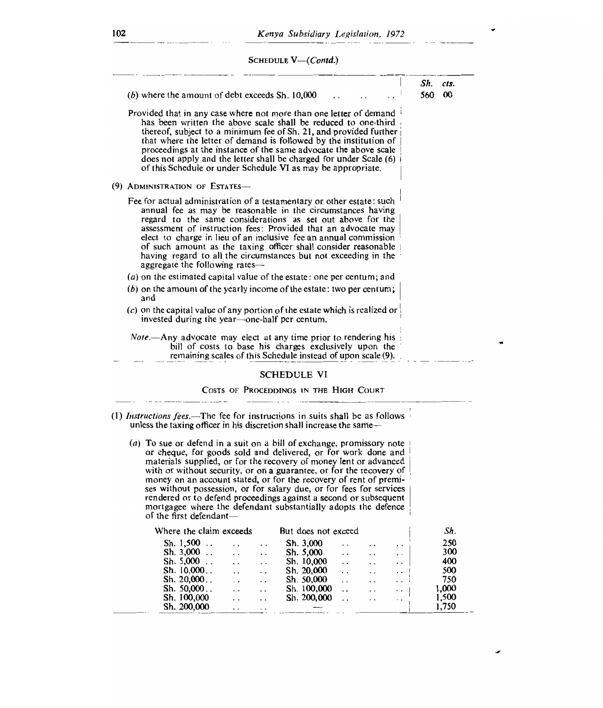SCHEDULE *V—(Contd.)* 

|                                                                                                                                                                                                                                                                                                                                                                                                                                                                                                                | Sh. | Cts.     |
|----------------------------------------------------------------------------------------------------------------------------------------------------------------------------------------------------------------------------------------------------------------------------------------------------------------------------------------------------------------------------------------------------------------------------------------------------------------------------------------------------------------|-----|----------|
| $(b)$ where the amount of debt exceeds Sh. $10,000$                                                                                                                                                                                                                                                                                                                                                                                                                                                            | 560 | $\infty$ |
| Provided that in any case where not more than one letter of demand<br>has been written the above scale shall be reduced to one-third<br>thereof, subject to a minimum fee of Sh. 21, and provided further<br>that where the letter of demand is followed by the institution of<br>proceedings at the instance of the same advocate the above scale<br>does not apply and the letter shall be charged for under Scale (6)<br>of this Schedule or under Schedule VI as may be appropriate.                       |     |          |
| (9) ADMINISTRATION OF ESTATES-                                                                                                                                                                                                                                                                                                                                                                                                                                                                                 |     |          |
| Fee for actual administration of a testamentary or other estate: such<br>annual fee as may be reasonable in the circumstances having<br>regard to the same considerations as set out above for the<br>assessment of instruction fees: Provided that an advocate may<br>elect to charge in lieu of an inclusive fee an annual commission<br>of such amount as the taxing officer shall consider reasonable<br>having regard to all the circumstances but not exceeding in the<br>aggregate the following rates- |     |          |
| (a) on the estimated capital value of the estate: one per centum; and                                                                                                                                                                                                                                                                                                                                                                                                                                          |     |          |
| $(b)$ on the amount of the yearly income of the estate: two per centum;<br>and                                                                                                                                                                                                                                                                                                                                                                                                                                 |     |          |
| $(c)$ on the capital value of any portion of the estate which is realized or<br>invested during the year—one-half per centum.                                                                                                                                                                                                                                                                                                                                                                                  |     |          |
| <i>Note</i> .—Any advocate may elect at any time prior to rendering his<br>bill of costs to base his charges exclusively upon the<br>remaining scales of this Schedule instead of upon scale (9).                                                                                                                                                                                                                                                                                                              |     |          |
| <b>SCHEDULE VI</b>                                                                                                                                                                                                                                                                                                                                                                                                                                                                                             |     |          |
| COSTS OF PROCEDDINGS IN THE HIGH COURT                                                                                                                                                                                                                                                                                                                                                                                                                                                                         |     |          |

or cheque, for goods sold and delivered, or for work done and materials supplied, or for the recovery of money lent or advanced with or without security, or on a guarantee, or for the recovery of money on an account stated, or for the recovery of rent of premises without possession, or for salary due, or for fees for services rendered or to defend proceedings against a second or subsequent mortgagee where the defendant substantially adopts the defence of the first defendant—

| Where the claim exceeds |                      |                      | But does not exceed |                 |                      |                 | Sh.   |
|-------------------------|----------------------|----------------------|---------------------|-----------------|----------------------|-----------------|-------|
| Sh. $1,500$             | . .                  | . .                  | Sh. 3,000           | $\cdot$ $\cdot$ | . .                  | $\cdot$ $\cdot$ | 250   |
| Sh. $3,000$             | $\ddot{\phantom{0}}$ | . .                  | Sh. 5,000           | $\cdot$ $\cdot$ | $\cdot$ $\cdot$      | . .             | 300   |
| Sh. $5,000$             | $\cdot$ $\cdot$      | $\ddot{\phantom{0}}$ | Sh. 10,000          | $\cdot$ .       | $\ddot{\phantom{a}}$ | . .             | 400   |
| Sh. 10,000              | $\cdot$ $\cdot$      | $\ddot{\phantom{0}}$ | Sh. 20,000          | . .             | $\cdot$ .            | $\cdot$ .       | 500   |
| Sh. 20,000              | $\ddot{\phantom{0}}$ | $\ddot{\phantom{0}}$ | Sh. 50,000          |                 | $\ddot{\phantom{0}}$ | $\ddotsc$       | 750   |
| Sh. 50,000              | $\cdot$ $\cdot$      | . .                  | Sh. 100,000         |                 | $\ddot{\phantom{0}}$ | . .             | 1,000 |
| Sh. 100,000             | $\cdot$ $\cdot$      | $\ddot{\phantom{0}}$ | Sh. 200,000         |                 | $\cdot$ $\cdot$      | . .             | 1,500 |
| Sh. 200,000             | $\sim$               | . .                  |                     |                 |                      |                 | 1.750 |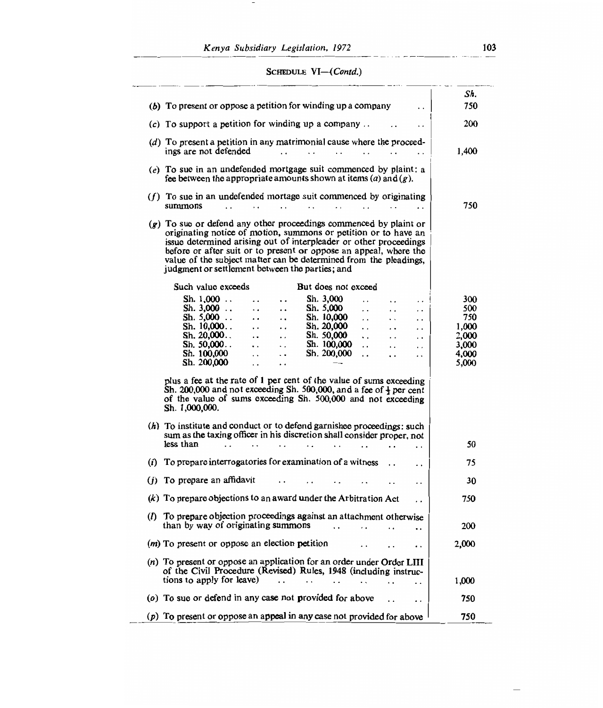*Kenya Subsidiary Legislation, 1972* 103

 $\hspace{0.1mm}-\hspace{0.1mm}$ 

# SCHEDULE *VI—(Contd.)*

| (b) To present or oppose a petition for winding up a company                                                                                                                                                                                                                                                                                                                                                                                                                                                                                                                                                                                                                                                                                                                                                                                        | Sh.<br>750                                                     |
|-----------------------------------------------------------------------------------------------------------------------------------------------------------------------------------------------------------------------------------------------------------------------------------------------------------------------------------------------------------------------------------------------------------------------------------------------------------------------------------------------------------------------------------------------------------------------------------------------------------------------------------------------------------------------------------------------------------------------------------------------------------------------------------------------------------------------------------------------------|----------------------------------------------------------------|
| (c) To support a petition for winding up a company                                                                                                                                                                                                                                                                                                                                                                                                                                                                                                                                                                                                                                                                                                                                                                                                  | 200                                                            |
| $(d)$ To present a petition in any matrimonial cause where the proceed-<br>ings are not defended<br>$\cdot$ .<br>$\ddot{\phantom{0}}$<br>(e) To sue in an undefended mortgage suit commenced by plaint; a                                                                                                                                                                                                                                                                                                                                                                                                                                                                                                                                                                                                                                           | 1,400                                                          |
| fee between the appropriate amounts shown at items (a) and $(p)$ .                                                                                                                                                                                                                                                                                                                                                                                                                                                                                                                                                                                                                                                                                                                                                                                  |                                                                |
| $(f)$ To sue in an undefended mortage suit commenced by originating<br>summons<br>$\ddot{\phantom{a}}$                                                                                                                                                                                                                                                                                                                                                                                                                                                                                                                                                                                                                                                                                                                                              | 750                                                            |
| $(g)$ To sue or defend any other proceedings commenced by plaint or<br>originating notice of motion, summons or petition or to have an<br>issue determined arising out of interpleader or other proceedings<br>before or after suit or to present or oppose an appeal, where the<br>value of the subject matter can be determined from the pleadings,<br>judgment or settlement between the parties; and                                                                                                                                                                                                                                                                                                                                                                                                                                            |                                                                |
| Such value exceeds<br>But does not exceed                                                                                                                                                                                                                                                                                                                                                                                                                                                                                                                                                                                                                                                                                                                                                                                                           |                                                                |
| Sh. $1,000$<br>Sh. 3,000<br>Ω.<br>$\ddot{\phantom{a}}$<br>$\ddot{\phantom{a}}$<br>и.<br>Sh. $3,000$<br>Sh. 5,000<br>$\ddot{\phantom{a}}$<br>$\ddotsc$<br>. .<br>$\ddot{\phantom{a}}$<br>$\ddot{\phantom{0}}$<br>Sh. 5,000<br>Sh. 10,000<br>$\ddot{\phantom{0}}$<br>$\cdot$ .<br>. .<br>$\ddots$<br>$\ddotsc$<br>Sh. $10,000$<br>Sh. 20,000<br>$\cdots$<br>$\ddot{\phantom{0}}$<br>$\ddotsc$<br>$\ddot{\phantom{0}}$<br>. .<br>Sh. $20,000$<br>Sh. 50,000<br>$\ddot{\phantom{a}}$<br>$\ddot{\phantom{0}}$<br>$\ddot{\phantom{a}}$<br>. .<br>$\ddot{\phantom{0}}$<br>Sh. 50,000<br>Sh. 100,000<br>$\ddotsc$<br>$\ddot{\phantom{0}}$<br>$\ddot{\phantom{0}}$<br>$\ddot{\phantom{0}}$<br>. .<br>Sh. 100,000<br>Sh. 200,000<br>$\ddot{\phantom{0}}$<br>$\ddot{\phantom{0}}$<br>. .<br>$\cdot$ .<br>$\cdot$<br>Sh. 200,000<br>$\ddot{\phantom{a}}$<br>. . | 300<br>500<br>750<br>1,000<br>2,000<br>3,000<br>4,000<br>5,000 |
| plus a fee at the rate of 1 per cent of the value of sums exceeding<br>Sh. 200,000 and not exceeding Sh. 500,000, and a fee of $\frac{1}{2}$ per cent<br>of the value of sums exceeding Sh. 500,000 and not exceeding<br>Sh. 1,000,000.                                                                                                                                                                                                                                                                                                                                                                                                                                                                                                                                                                                                             |                                                                |
| $(h)$ To institute and conduct or to defend garnishee proceedings: such<br>sum as the taxing officer in his discretion shall consider proper, not<br>less than<br>$\ddot{\phantom{0}}$<br>. .                                                                                                                                                                                                                                                                                                                                                                                                                                                                                                                                                                                                                                                       | 50                                                             |
| To prepare interrogatories for examination of a witness<br>(i)<br>$\ddot{\phantom{0}}$                                                                                                                                                                                                                                                                                                                                                                                                                                                                                                                                                                                                                                                                                                                                                              | 75                                                             |
| $(j)$ To prepare an affidavit<br>. .                                                                                                                                                                                                                                                                                                                                                                                                                                                                                                                                                                                                                                                                                                                                                                                                                | 30                                                             |
| $(k)$ To prepare objections to an award under the Arbitration Act<br>$\cdot$ .                                                                                                                                                                                                                                                                                                                                                                                                                                                                                                                                                                                                                                                                                                                                                                      | 750                                                            |
| (I) To prepare objection proceedings against an attachment otherwise<br>than by way of originating summons<br>$\ddot{\phantom{0}}$<br>. .                                                                                                                                                                                                                                                                                                                                                                                                                                                                                                                                                                                                                                                                                                           | 200                                                            |
| $(m)$ To present or oppose an election petition                                                                                                                                                                                                                                                                                                                                                                                                                                                                                                                                                                                                                                                                                                                                                                                                     | 2,000                                                          |
| (n) To present or oppose an application for an order under Order LIII<br>of the Civil Procedure (Revised) Rules, 1948 (including instruc-<br>tions to apply for leave)                                                                                                                                                                                                                                                                                                                                                                                                                                                                                                                                                                                                                                                                              | 1,000                                                          |
| (o) To sue or defend in any case not provided for above                                                                                                                                                                                                                                                                                                                                                                                                                                                                                                                                                                                                                                                                                                                                                                                             | 750                                                            |
| To present or oppose an appeal in any case not provided for above<br>(p)                                                                                                                                                                                                                                                                                                                                                                                                                                                                                                                                                                                                                                                                                                                                                                            | 750                                                            |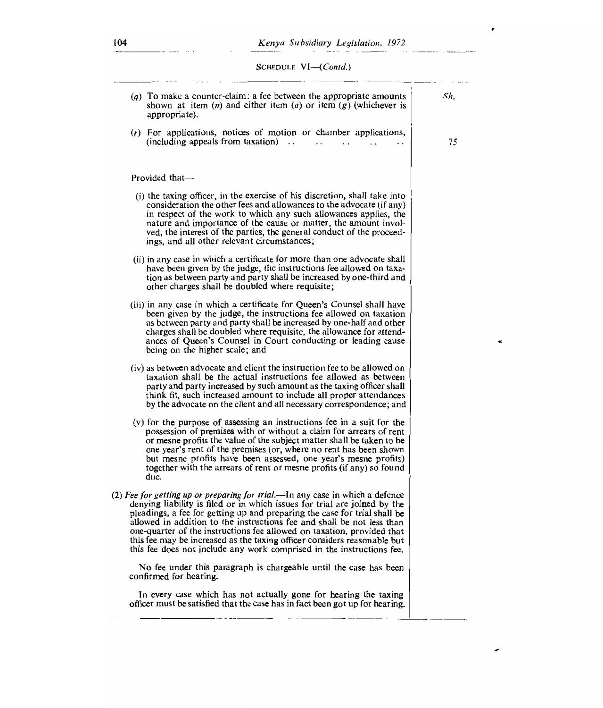SCHEDULE VI-(Contd.)

| $(q)$ To make a counter-claim; a fee between the appropriate amounts<br>shown at item $(n)$ and either item $(a)$ or item $(g)$ (whichever is<br>appropriate)                                                                                                                                                                                                                                                                                                                                                                                    | Sh. |
|--------------------------------------------------------------------------------------------------------------------------------------------------------------------------------------------------------------------------------------------------------------------------------------------------------------------------------------------------------------------------------------------------------------------------------------------------------------------------------------------------------------------------------------------------|-----|
| $(r)$ For applications, notices of motion or chamber applications,<br>$(including\ appears\ from\ taxation)$                                                                                                                                                                                                                                                                                                                                                                                                                                     | 75  |
| Provided that-                                                                                                                                                                                                                                                                                                                                                                                                                                                                                                                                   |     |
| (i) the taxing officer, in the exercise of his discretion, shall take into<br>consideration the other fees and allowances to the advocate (if any)<br>in respect of the work to which any such allowances applies, the<br>nature and importance of the cause or matter, the amount invol-<br>ved, the interest of the parties, the general conduct of the proceed-<br>ings, and all other relevant circumstances;                                                                                                                                |     |
| (ii) in any case in which a certificate for more than one advocate shall<br>have been given by the judge, the instructions fee allowed on taxa-<br>tion as between party and party shall be increased by one-third and<br>other charges shall be doubled where requisite;                                                                                                                                                                                                                                                                        |     |
| (iii) in any case in which a certificate for Queen's Counsel shall have<br>been given by the judge, the instructions fee allowed on taxation<br>as between party and party shall be increased by one-half and other<br>charges shall be doubled where requisite, the allowance for attend-<br>ances of Queen's Counsel in Court conducting or leading cause<br>being on the higher scale; and                                                                                                                                                    |     |
| (iv) as between advocate and client the instruction fee to be allowed on<br>taxation shall be the actual instructions fee allowed as between<br>party and party increased by such amount as the taxing officer shall<br>think fit, such increased amount to include all proper attendances<br>by the advocate on the client and all necessary correspondence; and                                                                                                                                                                                |     |
| (v) for the purpose of assessing an instructions fee in a suit for the<br>possession of premises with or without a claim for arrears of rent<br>or mesne profits the value of the subject matter shall be taken to be<br>one year's rent of the premises (or, where no rent has been shown<br>but mesne profits have been assessed, one year's mesne profits)<br>together with the arrears of rent or mesne profits (if any) so found<br>due.                                                                                                    |     |
| (2) Fee for getting up or preparing for trial.—In any case in which a defence<br>denying liability is filed or in which issues for trial are joined by the<br>pleadings, a fee for getting up and preparing the case for trial shall be<br>allowed in addition to the instructions fee and shall be not less than<br>one-quarter of the instructions fee allowed on taxation, provided that<br>this fee may be increased as the taxing officer considers reasonable but<br>this fee does not include any work comprised in the instructions fee. |     |
| No fee under this paragraph is chargeable until the case has been<br>confirmed for hearing.                                                                                                                                                                                                                                                                                                                                                                                                                                                      |     |
| In every case which has not actually gone for hearing the taxing<br>officer must be satisfied that the case has in fact been got up for hearing.                                                                                                                                                                                                                                                                                                                                                                                                 |     |
|                                                                                                                                                                                                                                                                                                                                                                                                                                                                                                                                                  |     |

æ

 $\overline{f}$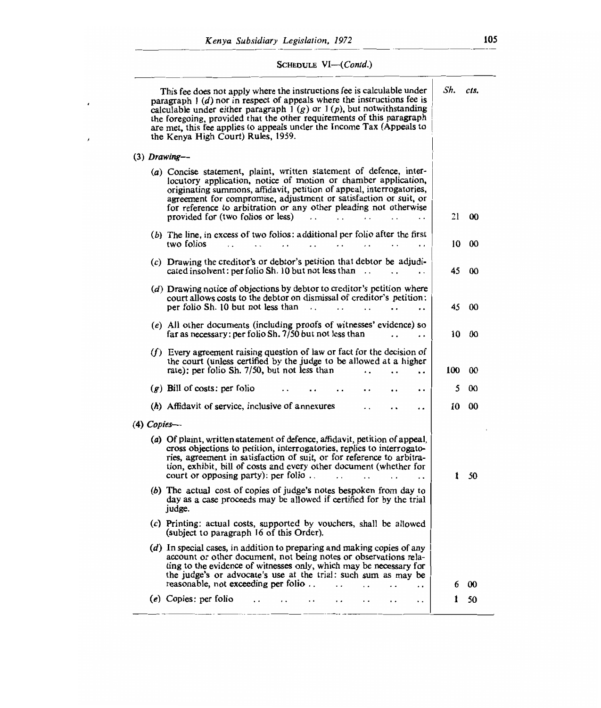$\pmb{\cdot}$ 

 $\pmb{\prime}$ 

|                | This fee does not apply where the instructions fee is calculable under<br>paragraph $1$ (d) nor in respect of appeals where the instructions fee is<br>calculable under either paragraph $1(g)$ or $1(p)$ , but notwithstanding<br>the foregoing, provided that the other requirements of this paragraph<br>are met, this fee applies to appeals under the Income Tax (Appeals to<br>the Kenya High Court) Rules, 1959. | Sh. | cts.              |
|----------------|-------------------------------------------------------------------------------------------------------------------------------------------------------------------------------------------------------------------------------------------------------------------------------------------------------------------------------------------------------------------------------------------------------------------------|-----|-------------------|
| $(3)$ Drawing- |                                                                                                                                                                                                                                                                                                                                                                                                                         |     |                   |
|                | (a) Concise statement, plaint, written statement of defence, inter-<br>locutory application, notice of motion or chamber application,<br>originating summons, affidavit, petition of appeal, interrogatories,<br>agreement for compromise, adjustment or satisfaction or suit, or<br>for reference to arbitration or any other pleading not otherwise<br>provided for (two folios or less)<br>$\cdot$ .                 | 21  | $\boldsymbol{00}$ |
|                | (b) The line, in excess of two folios: additional per folio after the first<br>two folios<br>$\cdot$ $\cdot$<br>$\cdot$ .<br>$\ddotsc$<br>$\ddot{\phantom{0}}$<br>$\cdot$ .                                                                                                                                                                                                                                             | 10  | 00                |
|                | $(c)$ Drawing the creditor's or debtor's petition that debtor be adjudi-<br>cated insolvent: per folio Sh. 10 but not less than $\ldots$                                                                                                                                                                                                                                                                                | 45  | 00                |
|                | (d) Drawing notice of objections by debtor to creditor's petition where<br>court allows costs to the debtor on dismissal of creditor's petition:<br>per folio Sh. 10 but not less than<br>$\cdot$ .<br>$\mathbf{L}$<br>$\overline{a}$<br>$\ddot{\phantom{a}}$                                                                                                                                                           | 45  | 00                |
|                | (e) All other documents (including proofs of witnesses' evidence) so<br>far as necessary: per folio Sh. 7/50 but not less than                                                                                                                                                                                                                                                                                          | 10  | 00                |
|                | $(f)$ Every agreement raising question of law or fact for the decision of<br>the court (unless certified by the judge to be allowed at a higher<br>rate): per folio Sh. 7/50, but not less than<br>$\ddot{\phantom{a}}$                                                                                                                                                                                                 | 100 | 00                |
|                | $(g)$ Bill of costs: per folio<br>. .                                                                                                                                                                                                                                                                                                                                                                                   | 5   | $\infty$          |
|                | (h) Affidavit of service, inclusive of annexures                                                                                                                                                                                                                                                                                                                                                                        | 10  | 00                |
| $(4)$ Copies—  |                                                                                                                                                                                                                                                                                                                                                                                                                         |     |                   |
|                | (a) Of plaint, written statement of defence, affidavit, petition of appeal,<br>cross objections to petition, interrogatories, replies to interrogato-<br>ries, agreement in satisfaction of suit, or for reference to arbitra-<br>tion, exhibit, bill of costs and every other document (whether for<br>court or opposing party): per folio<br>$\cdot$ .<br>$\ddot{\phantom{0}}$                                        | 1   | 50                |
|                | (b) The actual cost of copies of judge's notes bespoken from day to<br>day as a case proceeds may be allowed if certified for by the trial<br>judge.                                                                                                                                                                                                                                                                    |     |                   |
|                | $(c)$ Printing: actual costs, supported by vouchers, shall be allowed<br>(subject to paragraph 16 of this Order).                                                                                                                                                                                                                                                                                                       |     |                   |
|                | (d) In special cases, in addition to preparing and making copies of any<br>account or other document, not being notes or observations rela-<br>ting to the evidence of witnesses only, which may be necessary for<br>the judge's or advocate's use at the trial: such sum as may be<br>reasonable, not exceeding per folio<br>$\ddot{\phantom{0}}$                                                                      | 6   | 00                |
|                | $\ddot{\phantom{a}}$<br>$(e)$ Copies: per folio<br>$\ddot{\phantom{0}}$<br>$\cdot$ .<br>$\cdot$ $\cdot$<br>. .<br>. .                                                                                                                                                                                                                                                                                                   | 1   | 50                |
|                |                                                                                                                                                                                                                                                                                                                                                                                                                         |     |                   |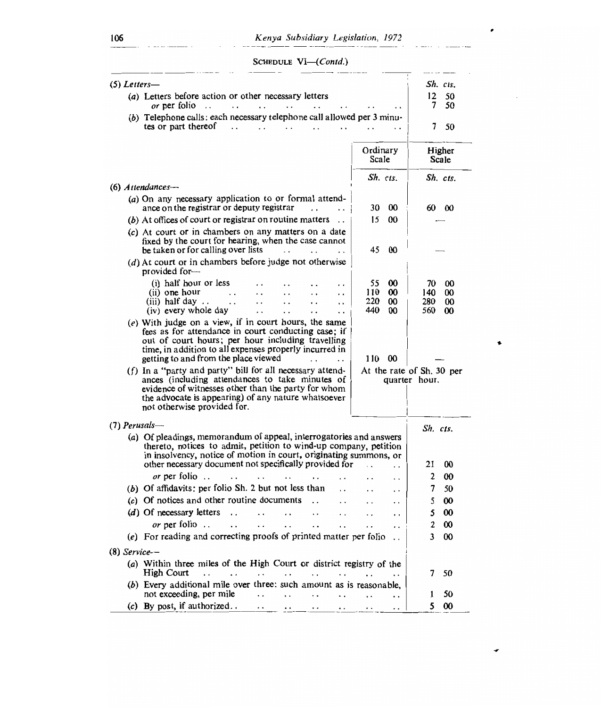106 *Kenya Subsidiary Legislation, 1972* 

SCHEDULE *VI—(Contd.)* 

| $(5)$ Letters—                                                                                                                                                                                                                                                        |                                                            | Sh. cts.                                                           |  |  |
|-----------------------------------------------------------------------------------------------------------------------------------------------------------------------------------------------------------------------------------------------------------------------|------------------------------------------------------------|--------------------------------------------------------------------|--|--|
| (a) Letters before action or other necessary letters                                                                                                                                                                                                                  |                                                            |                                                                    |  |  |
| <i>or</i> per folio<br>$\ddots$                                                                                                                                                                                                                                       |                                                            | $12 \,$<br>50<br>7<br>50                                           |  |  |
| (b) Telephone calls: each necessary telephone call allowed per 3 minu-<br>tes or part thereof<br>$\ddot{\phantom{0}}$                                                                                                                                                 |                                                            | 7<br>50                                                            |  |  |
|                                                                                                                                                                                                                                                                       | Ordinary<br>Scale                                          | Higher<br>Scale                                                    |  |  |
|                                                                                                                                                                                                                                                                       | Sh. cts.                                                   | Sh. cts.                                                           |  |  |
| $(6)$ Attendances--                                                                                                                                                                                                                                                   |                                                            |                                                                    |  |  |
| (a) On any necessary application to or formal attend-<br>ance on the registrar or deputy registrar                                                                                                                                                                    | 30<br>00                                                   | 60<br>- 00                                                         |  |  |
| (b) At offices of court or registrar on routine matters                                                                                                                                                                                                               | 15<br>00                                                   |                                                                    |  |  |
| (c) At court or in chambers on any matters on a date<br>fixed by the court for hearing, when the case cannot<br>be taken or for calling over lists                                                                                                                    | 45<br>00                                                   |                                                                    |  |  |
| (d) At court or in chambers before judge not otherwise<br>provided for-                                                                                                                                                                                               |                                                            |                                                                    |  |  |
| (i) half hour or less<br>. .<br>(ii) one hour<br>$\ddot{\phantom{0}}$<br>$\ddot{\phantom{0}}$<br>(iii) half day<br>$\ddot{\phantom{1}}$<br>(iv) every whole day<br>$\ddot{\phantom{0}}$<br>. .<br>. .                                                                 | 55<br>00<br>110<br>00<br>220<br>00<br>440<br><sub>00</sub> | 70<br>00<br>140<br>00<br>280<br>$\boldsymbol{\omega}$<br>560<br>00 |  |  |
| $(e)$ With judge on a view, if in court hours, the same<br>fees as for attendance in court conducting case; if<br>out of court hours; per hour including travelling<br>time, in addition to all expenses properly incurred in<br>getting to and from the place viewed | 110<br>00                                                  |                                                                    |  |  |
| $(f)$ In a "party and party" bill for all necessary attend-<br>ances (including attendances to take minutes of<br>evidence of witnesses other than the party for whom<br>the advocate is appearing) of any nature whatsoever<br>not otherwise provided for.           |                                                            | At the rate of Sh. 30 per<br>quarter hour.                         |  |  |
| $(7)$ Perusals—                                                                                                                                                                                                                                                       |                                                            | Sh. cts.                                                           |  |  |
| (a) Of pleadings, memorandum of appeal, interrogatories and answers<br>thereto, notices to admit, petition to wind-up company, petition<br>in insolvency, notice of motion in court, originating summons, or                                                          |                                                            |                                                                    |  |  |
| other necessary document not specifically provided for                                                                                                                                                                                                                | $\ddot{\phantom{0}}$<br>$\cdot$ .                          | 21<br>00                                                           |  |  |
| <i>or</i> per folio                                                                                                                                                                                                                                                   | . .                                                        | 00<br>2                                                            |  |  |
| (b) Of affidavits: per folio Sh. 2 but not less than                                                                                                                                                                                                                  | . .                                                        | 7<br>50                                                            |  |  |
| (c) Of notices and other routine documents                                                                                                                                                                                                                            | . .                                                        | 00<br>5                                                            |  |  |
| (d) Of necessary letters<br>. .                                                                                                                                                                                                                                       | $\cdot$ $\cdot$                                            | 5<br>$\boldsymbol{\omega}$                                         |  |  |
| <i>or</i> per folio                                                                                                                                                                                                                                                   |                                                            | $\boldsymbol{\omega}$                                              |  |  |
| (e) For reading and correcting proofs of printed matter per folio                                                                                                                                                                                                     |                                                            | 3<br>00                                                            |  |  |
| $(8)$ Service--                                                                                                                                                                                                                                                       |                                                            |                                                                    |  |  |
| (a) Within three miles of the High Court or district registry of the<br>High Court<br>$\ddot{\phantom{0}}$<br>$\ddot{\phantom{0}}$                                                                                                                                    |                                                            | 50<br>7                                                            |  |  |
| (b) Every additional mile over three: such amount as is reasonable,<br>not exceeding, per mile<br>$\ddot{\phantom{0}}$<br>. .<br>. .<br>$\ddot{\phantom{0}}$                                                                                                          | . .                                                        | 50<br>ı                                                            |  |  |
| (c) By post, if authorized                                                                                                                                                                                                                                            | . .                                                        | $\boldsymbol{\omega}$<br>5                                         |  |  |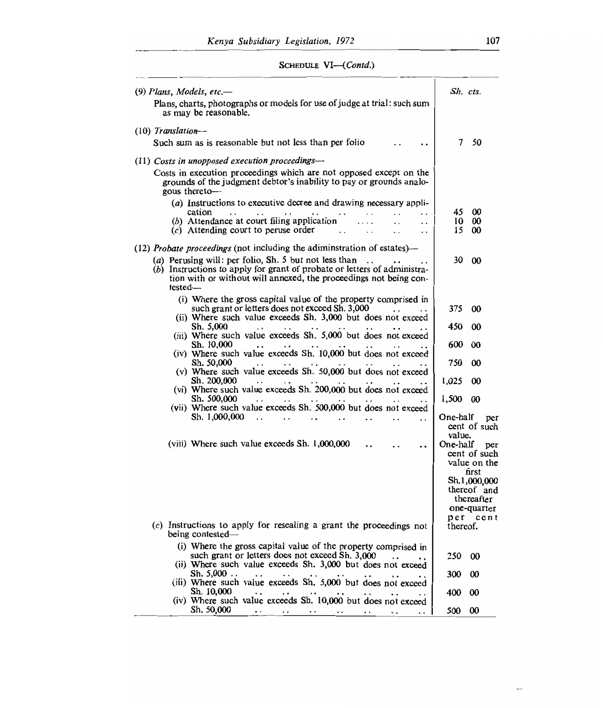# SCHEDULE VI-(Contd.)

| $(9)$ Plans, Models, etc.—                                                                                                                                                                                                                | Sh. cts.           |                                                          |
|-------------------------------------------------------------------------------------------------------------------------------------------------------------------------------------------------------------------------------------------|--------------------|----------------------------------------------------------|
| Plans, charts, photographs or models for use of judge at trial: such sum<br>as may be reasonable.                                                                                                                                         |                    |                                                          |
| $(10)$ Translation-                                                                                                                                                                                                                       |                    |                                                          |
| Such sum as is reasonable but not less than per folio                                                                                                                                                                                     | 7                  | 50                                                       |
| $(11)$ Costs in unopposed execution proceedings-                                                                                                                                                                                          |                    |                                                          |
| Costs in execution proceedings which are not opposed except on the<br>grounds of the judgment debtor's inability to pay or grounds analo-<br>gous thereto-                                                                                |                    |                                                          |
| (a) Instructions to executive decree and drawing necessary appli-                                                                                                                                                                         |                    |                                                          |
| cation<br>$\cdot$ $\cdot$<br>. .<br>(b) Attendance at court filing application<br>$\cdot$ .                                                                                                                                               | 45<br>10           | 00<br>00                                                 |
| $(c)$ Attending court to peruse order<br>$\ddot{\phantom{0}}$                                                                                                                                                                             | 15                 | 00                                                       |
| $(12)$ <i>Probate proceedings</i> (not including the adiminstration of estates)—                                                                                                                                                          |                    |                                                          |
| (a) Perusing will: per folio, Sh. 5 but not less than<br>$\ddot{\phantom{0}}$<br>(b) Instructions to apply for grant of probate or letters of administra-<br>tion with or without will annexed, the proceedings not being con-<br>tested- | 30                 | 00                                                       |
| (i) Where the gross capital value of the property comprised in                                                                                                                                                                            |                    |                                                          |
| such grant or letters does not exceed Sh. 3,000<br>(ii) Where such value exceeds Sh. 3,000 but does not exceed                                                                                                                            | 375                | 00                                                       |
| Sh. 5,000                                                                                                                                                                                                                                 | 450                | 00                                                       |
| (iii) Where such value exceeds Sh. 5,000 but does not exceed<br>Sh. 10,000                                                                                                                                                                | 600                | 00                                                       |
| (iv) Where such value exceeds Sh. 10,000 but does not exceed<br>Sh. 50,000                                                                                                                                                                | 750                | 00                                                       |
| (v) Where such value exceeds Sh. 50,000 but does not exceed<br>Sh. 200,000                                                                                                                                                                | 1,025              | 00                                                       |
| (vi) Where such value exceeds Sh. 200,000 but does not exceed<br>Sh. 500,000                                                                                                                                                              |                    | $\boldsymbol{\omega}$                                    |
| (vii) Where such value exceeds Sh. 500,000 but does not exceed                                                                                                                                                                            | 1,500              |                                                          |
| Sh. 1,000,000<br>$\ddot{\phantom{0}}$                                                                                                                                                                                                     | One-half           | per<br>cent of such                                      |
| (viii) Where such value exceeds Sh. 1,000,000<br>. .                                                                                                                                                                                      | value.<br>One-half | per<br>cent of such<br>value on the<br>first             |
|                                                                                                                                                                                                                                           |                    | Sh.1,000,000<br>thereof and<br>thereafter<br>one-quarter |
| $(c)$ Instructions to apply for resealing a grant the proceedings not<br>being contested—                                                                                                                                                 | per<br>thereof.    | cent                                                     |
| (i) Where the gross capital value of the property comprised in                                                                                                                                                                            |                    |                                                          |
| such grant or letters does not exceed Sh. 3,000<br>(ii) Where such value exceeds Sh. 3,000 but does not exceed                                                                                                                            | 250                | 00                                                       |
| Sh. 5,000<br>(iii) Where such value exceeds Sh. 5,000 but does not exceed                                                                                                                                                                 | 300                | 00                                                       |
| Sh. 10,000<br>(iv) Where such value exceeds Sh. 10,000 but does not exceed                                                                                                                                                                | 400                | 00                                                       |
| Sh. 50.000<br>$\ddotsc$                                                                                                                                                                                                                   | 500                | 00                                                       |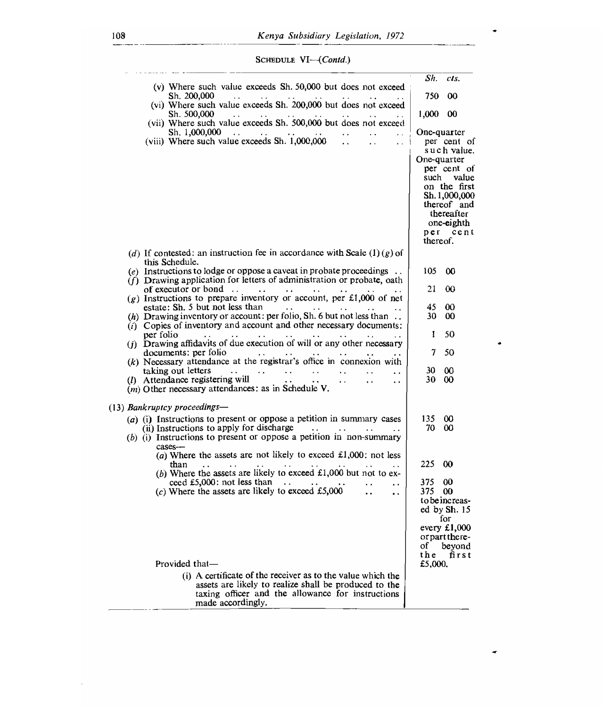SCHEDULE *VI—(Contd.)* 

| (v) Where such value exceeds Sh. 50,000 but does not exceed                                                                                                                                                                                               | Sh.                     | cts.                                                                                                                                            |
|-----------------------------------------------------------------------------------------------------------------------------------------------------------------------------------------------------------------------------------------------------------|-------------------------|-------------------------------------------------------------------------------------------------------------------------------------------------|
| Sh. 200.000<br>$\sim$<br>(vi) Where such value exceeds Sh. 200,000 but does not exceed                                                                                                                                                                    | 750                     | 00                                                                                                                                              |
| Sh. 500,000<br>$\mathbf{z} \cdot \mathbf{z}$ .                                                                                                                                                                                                            | 1,000 00                |                                                                                                                                                 |
| (vii) Where such value exceeds Sh. 500,000 but does not exceed<br>Sh. 1,000,000<br>$\sim 10^{-10}$ km s $^{-1}$<br>$\sim 10^{-1}$                                                                                                                         |                         | One-quarter                                                                                                                                     |
| (viii) Where such value exceeds Sh. 1,000,000<br>$\mathbf{A}$<br>$\sim$ 1<br>i.                                                                                                                                                                           | One-quarter<br>thereof. | per cent of<br>such value.<br>per cent of<br>such value<br>on the first<br>Sh. 1,000,000<br>thereof and<br>thereafter<br>one-eighth<br>per cent |
| (d) If contested: an instruction fee in accordance with Scale (1)(g) of<br>this Schedule.                                                                                                                                                                 |                         |                                                                                                                                                 |
| (e) Instructions to lodge or oppose a caveat in probate proceedings $\dots$<br>$(f)$ Drawing application for letters of administration or probate, oath                                                                                                   | 105.                    | $\infty$                                                                                                                                        |
| of executor or bond $\ldots$ $\ldots$ $\ldots$<br>$\sim$ 100 $\pm$ 100 $\pm$<br>$(g)$ Instructions to prepare inventory or account, per £1,000 of net                                                                                                     | 21                      | $\infty$                                                                                                                                        |
| estate: Sh. 5 but not less than                                                                                                                                                                                                                           | 45                      | 00                                                                                                                                              |
| (h) Drawing inventory or account: per folio, Sh. 6 but not less than $\ldots$<br>$(i)$ Copies of inventory and account and other necessary documents:                                                                                                     | 30.                     | 00                                                                                                                                              |
| per folio<br><b>Contract Contract</b><br>a a                                                                                                                                                                                                              | 1                       | 50                                                                                                                                              |
| (j) Drawing affidavits of due execution of will or any other necessary<br>documents: per folio<br>$\mathcal{L}^{\mathcal{A}}$ and $\mathcal{L}^{\mathcal{A}}$ and $\mathcal{L}^{\mathcal{A}}$ . Then $\mathcal{L}^{\mathcal{A}}$<br>$\bullet$ $\bullet$ . | 7                       | 50                                                                                                                                              |
| $(k)$ Necessary attendance at the registrar's office in connexion with<br>taking out letters<br>was a state of the state<br>$\mathbf{r}$<br>$\sim 100$ km s $^{-1}$<br>$\mathbf{1}$ and $\mathbf{1}$ and $\mathbf{1}$<br>$\ddot{\phantom{a}}$             | 30.                     | $\infty$                                                                                                                                        |
| (1) Attendance registering will<br>$\mathbf{A}(\mathbf{A})$ and<br>$\sim$ $\sim$<br>$\ddot{\phantom{0}}$<br>$\bullet$ $\bullet$ .<br>$(m)$ Other necessary attendances: as in Schedule V.                                                                 | 30                      | 00                                                                                                                                              |
| (13) Bankruptcy proceedings—                                                                                                                                                                                                                              |                         |                                                                                                                                                 |
| $(a)$ (i) Instructions to present or oppose a petition in summary cases                                                                                                                                                                                   | 135                     | œ                                                                                                                                               |
| (ii) Instructions to apply for discharge<br>$\sim 10^{-1}$<br><b>Contract Contract</b><br>(b) (i) Instructions to present or oppose a petition in non-summary<br>cases--                                                                                  | 70                      | $\infty$                                                                                                                                        |
| (a) Where the assets are not likely to exceed $\text{\pounds}1,000$ : not less<br>than                                                                                                                                                                    | 225.                    | $\boldsymbol{\omega}$                                                                                                                           |
| (b) Where the assets are likely to exceed $£1,000$ but not to ex-<br>ceed £5,000: not less than<br>$\sim$<br>$\ddot{\phantom{a}}$                                                                                                                         | 375.                    | 00                                                                                                                                              |
| (c) Where the assets are likely to exceed £5,000<br>$\ddot{\phantom{a}}$                                                                                                                                                                                  | 375                     | 00<br>to be increas-<br>ed by Sh. 15<br>for                                                                                                     |
|                                                                                                                                                                                                                                                           | of                      | every $£1,000$<br>or part there-<br>bevond                                                                                                      |
| Provided that-                                                                                                                                                                                                                                            | the<br>£5.000.          | first                                                                                                                                           |
| (i) A certificate of the receiver as to the value which the                                                                                                                                                                                               |                         |                                                                                                                                                 |
| assets are likely to realize shall be produced to the<br>taxing officer and the allowance for instructions<br>made accordingly.                                                                                                                           |                         |                                                                                                                                                 |

÷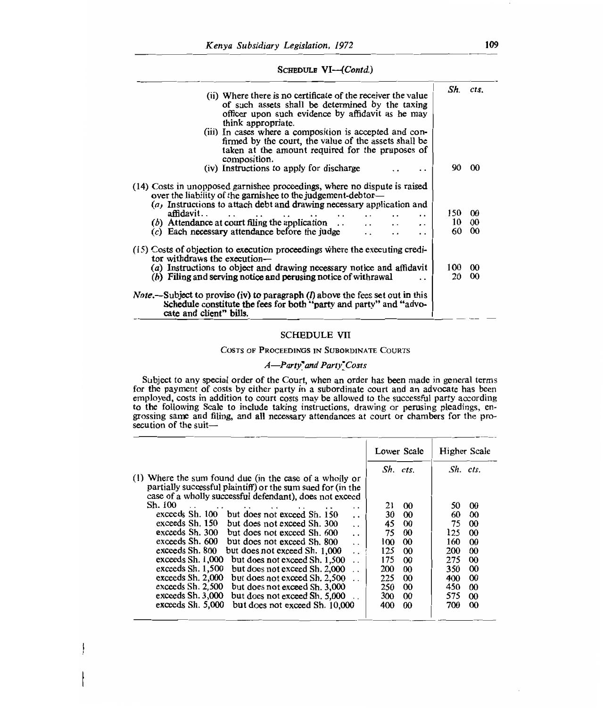## SCHEDULE *VI—(Contd.)*

| (ii) Where there is no certificate of the receiver the value<br>of such assets shall be determined by the taxing<br>officer upon such evidence by affidavit as he may<br>think appropriate.<br>(iii) In cases where a composition is accepted and con-<br>firmed by the court, the value of the assets shall be<br>taken at the amount required for the pruposes of<br>composition.          |                 | Sh. cts.                   |
|----------------------------------------------------------------------------------------------------------------------------------------------------------------------------------------------------------------------------------------------------------------------------------------------------------------------------------------------------------------------------------------------|-----------------|----------------------------|
| (iv) Instructions to apply for discharge                                                                                                                                                                                                                                                                                                                                                     | 90.             | ൜                          |
| (14) Costs in unopposed garnishee proceedings, where no dispute is raised<br>over the liability of the garnishee to the judgement-debtor-<br>$(a)$ Instructions to attach debt and drawing necessary application and<br>affidavit<br>$(b)$ Attendance at court filing the application<br>$\mathbf{A}$<br>$\cdot$<br>$(c)$ Each necessary attendance before the judge<br>$\ddot{\phantom{0}}$ | 150<br>10<br>60 | $\omega$<br>00<br>$\omega$ |
| $(15)$ Costs of objection to execution proceedings where the executing credi-<br>tor withdraws the execution—<br>$(a)$ Instructions to object and drawing necessary notice and affidavit<br>(b) Filing and serving notice and perusing notice of with rawal                                                                                                                                  | 100<br>20       | $\omega$<br>$\omega$       |
| <i>Note</i> .—Subject to proviso (iv) to paragraph $(l)$ above the fees set out in this<br>Schedule constitute the fees for both "party and party" and "advo-<br>cate and client" bills.                                                                                                                                                                                                     |                 |                            |

## SCHEDULE VII

## COSTS OF PROCEEDINGS IN SUBORDINATE COURTS

## *A*—Party'and Party' Costs

Subject to any special order of the Court, when an order has been made in general terms for the payment of costs by either party in a subordinate court and an advocate has been employed, costs in addition to court costs may be allowed to the successful party according to the following Scale to include taking instructions, drawing or perusing pleadings, engrossing same and filing, and all necessary attendances at court or chambers for the prosecution of the suit—

|                                                                                                                                                                                                                                                                                                                                                                                                                                                                                                                                                                                                                                                                                                                                                                                                                                                                                                                                                                                                   | Sh. cts.                                                                                                                                                                                                                                       | Sh. cts.                                                                      |                                                                                                                                                                                                          |
|---------------------------------------------------------------------------------------------------------------------------------------------------------------------------------------------------------------------------------------------------------------------------------------------------------------------------------------------------------------------------------------------------------------------------------------------------------------------------------------------------------------------------------------------------------------------------------------------------------------------------------------------------------------------------------------------------------------------------------------------------------------------------------------------------------------------------------------------------------------------------------------------------------------------------------------------------------------------------------------------------|------------------------------------------------------------------------------------------------------------------------------------------------------------------------------------------------------------------------------------------------|-------------------------------------------------------------------------------|----------------------------------------------------------------------------------------------------------------------------------------------------------------------------------------------------------|
| (1) Where the sum found due (in the case of a wholly or<br>partially successful plaintiff) or the sum sued for (in the                                                                                                                                                                                                                                                                                                                                                                                                                                                                                                                                                                                                                                                                                                                                                                                                                                                                            |                                                                                                                                                                                                                                                |                                                                               |                                                                                                                                                                                                          |
| case of a wholly successful defendant), does not exceed<br>Sh. 100<br>21<br>and the state of the state of the<br>$\ddot{\phantom{1}}$<br>$\ddot{\phantom{1}}$<br>$\sim$ $\sim$<br>exceeds Sh. 100 but does not exceed Sh. 150<br>30<br>$\cdot$ $\cdot$<br>exceeds Sh. 150<br>but does not exceed Sh. 300<br>45<br>$\ddot{\phantom{0}}$<br>exceeds Sh. 300<br>75<br>but does not exceed Sh. 600<br>$\ddot{\phantom{0}}$<br>exceeds Sh. 600<br>but does not exceed Sh. 800<br>100<br>$\ddot{\phantom{a}}$<br>exceeds Sh. 800<br>but does not exceed Sh. 1,000<br>125<br>$\ddot{\phantom{0}}$<br>exceeds Sh. 1,000<br>but does not exceed Sh. 1,500<br>175<br>exceeds Sh. 1,500<br>but does not exceed Sh. 2,000<br>200<br>exceeds Sh. 2,000<br>but does not exceed Sh. 2.500<br>225<br>$\ddot{\phantom{0}}$<br>exceeds Sh. 2,500<br>but does not exceed Sh. 3,000<br>250<br>exceeds Sh. 3,000<br>but does not exceed Sh. 5,000<br>300<br>exceeds Sh. 5,000<br>but does not exceed Sh. 10,000<br>400 | $\boldsymbol{\omega}$<br>$\boldsymbol{\omega}$<br>$\boldsymbol{\omega}$<br>$\boldsymbol{\omega}$<br>$\infty$<br>$\boldsymbol{\omega}$<br>$\omega$<br>$\boldsymbol{\omega}$<br>00<br>$\boldsymbol{\omega}$<br>$\boldsymbol{\omega}$<br>$\infty$ | 50<br>60<br>75<br>125<br>160<br>200<br>275<br>350<br>400<br>450<br>575<br>700 | 00<br>00<br>$\boldsymbol{\omega}$<br>$\boldsymbol{\omega}$<br>$\infty$<br>00<br>$\boldsymbol{\omega}$<br>$\boldsymbol{\omega}$<br>$\infty$<br>$\boldsymbol{\omega}$<br>$\boldsymbol{\omega}$<br>$\infty$ |